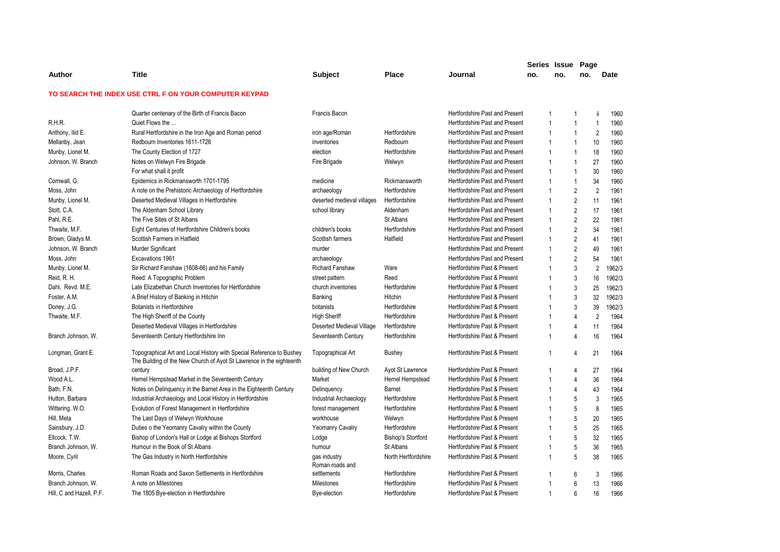|                          |                                                                                                                                              |                                 |                           |                                       | Series Issue Page |     |                |                          |
|--------------------------|----------------------------------------------------------------------------------------------------------------------------------------------|---------------------------------|---------------------------|---------------------------------------|-------------------|-----|----------------|--------------------------|
| Author                   | <b>Title</b>                                                                                                                                 | <b>Subject</b>                  | <b>Place</b>              | Journal                               | no.               | no. | no.            | <b>Date</b>              |
|                          | TO SEARCH THE INDEX USE CTRL F ON YOUR COMPUTER KEYPAD                                                                                       |                                 |                           |                                       |                   |     |                |                          |
|                          | Quarter centenary of the Birth of Francis Bacon                                                                                              | Francis Bacon                   |                           | Hertfordshire Past and Present        | $\mathbf 1$       |     | 1              | ji<br>1960               |
| R.H.R.                   | Quiet Flows the                                                                                                                              |                                 |                           | Hertfordshire Past and Present        | $\overline{1}$    |     | $\mathbf{1}$   | $\overline{1}$<br>1960   |
| Anthony, Ilid E.         | Rural Hertfordshire in the Iron Age and Roman period                                                                                         | iron age/Roman                  | Hertfordshire             | <b>Hertfordshire Past and Present</b> | $\overline{1}$    |     | $\mathbf{1}$   | $\overline{2}$<br>1960   |
| Mellanby, Jean           | Redbourn Inventories 1611-1726                                                                                                               | inventories                     | Redbourn                  | Hertfordshire Past and Present        | $\mathbf 1$       |     | $\mathbf{1}$   | 10<br>1960               |
| Munby, Lionel M.         | The County Election of 1727                                                                                                                  | election                        | Hertfordshire             | Hertfordshire Past and Present        | $\overline{1}$    |     | $\mathbf{1}$   | 18<br>1960               |
| Johnson, W. Branch       | Notes on Welwyn Fire Brigade                                                                                                                 | Fire Brigade                    | Welwyn                    | Hertfordshire Past and Present        | $\mathbf 1$       |     | 1              | 27<br>1960               |
|                          | For what shall it profit                                                                                                                     |                                 |                           | Hertfordshire Past and Present        | $\overline{1}$    |     | $\mathbf{1}$   | 30<br>1960               |
| Cornwall, G.             | Epidemics in Rickmansworth 1701-1795                                                                                                         | medicine                        | Rickmansworth             | <b>Hertfordshire Past and Present</b> | $\overline{1}$    |     | $\mathbf{1}$   | 34<br>1960               |
| Moss, John               | A note on the Prehistoric Archaeology of Hertfordshire                                                                                       | archaeology                     | Hertfordshire             | Hertfordshire Past and Present        | $\overline{1}$    |     | 2              | $\overline{2}$<br>1961   |
| Munby, Lionel M.         | Deserted Medieval Villages in Hertfordshire                                                                                                  | deserted medieval villages      | Hertfordshire             | Hertfordshire Past and Present        |                   |     | $\overline{2}$ | 11<br>1961               |
| Stott, C.A.              | The Aldenham School Library                                                                                                                  | school library                  | Aldenham                  | Hertfordshire Past and Present        | $\overline{1}$    |     | $\overline{2}$ | 17<br>1961               |
| Pahl, R.E.               | The Five Sites of St Albans                                                                                                                  |                                 | St Albans                 | Hertfordshire Past and Present        | $\overline{1}$    |     | $\overline{2}$ | 22<br>1961               |
| Thwaite, M.F.            | Eight Centuries of Hertfordshire Children's books                                                                                            | children's books                | Hertfordshire             | <b>Hertfordshire Past and Present</b> |                   |     | $\overline{2}$ | 34<br>1961               |
| Brown, Gladys M.         | Scottish Farmers in Hatfield                                                                                                                 | Scottish farmers                | Hatfield                  | Hertfordshire Past and Present        | $\mathbf 1$       |     | 2              | 41<br>1961               |
| Johnson, W. Branch       | Murder Significant                                                                                                                           | murder                          |                           | Hertfordshire Past and Present        | $\overline{1}$    |     | $\overline{2}$ | 49<br>1961               |
| Moss, John               | Excavations 1961                                                                                                                             | archaeology                     |                           | <b>Hertfordshire Past and Present</b> | 1                 |     | $\overline{2}$ | 54<br>1961               |
| Munby, Lionel M.         | Sir Richard Fanshaw (1608-66) and his Family                                                                                                 | Richard Fanshaw                 | Ware                      | Hertfordshire Past & Present          | 1                 |     | 3              | $\overline{2}$<br>1962/3 |
| Reid, R. H.              | Reed: A Topographic Problem                                                                                                                  | street pattern                  | Reed                      | Hertfordshire Past & Present          | 1                 |     | 3              | 16<br>1962/3             |
| Dahl, Revd. M.E.         | Late Elizabethan Church Inventories for Hertfordshire                                                                                        | church inventories              | Hertfordshire             | Hertfordshire Past & Present          | 1                 |     | 3              | 25<br>1962/3             |
| Foster, A.M.             | A Brief History of Banking in Hitchin                                                                                                        | Banking                         | Hitchin                   | Hertfordshire Past & Present          |                   |     | 3              | 32<br>1962/3             |
| Doney, J.G.              | Botanists in Hertfordshire                                                                                                                   | botanists                       | Hertfordshire             | Hertfordshire Past & Present          | $\mathbf 1$       |     | 3              | 39<br>1962/3             |
| Thwaite, M.F.            | The High Sheriff of the County                                                                                                               | <b>High Sheriff</b>             | Hertfordshire             | Hertfordshire Past & Present          | 1                 |     | 4              | $\overline{2}$<br>1964   |
|                          | Deserted Medieval Villages in Hertfordshire                                                                                                  | Deserted Medieval Village       | Hertfordshire             | Hertfordshire Past & Present          |                   |     | 4              | 11<br>1964               |
| Branch Johnson, W.       | Seventeenth Century Hertfordshire Inn                                                                                                        | Seventeenth Century             | Hertfordshire             | Hertfordshire Past & Present          | $\overline{1}$    |     | $\overline{4}$ | 16<br>1964               |
| Longman, Grant E.        | Topographical Art and Local History with Special Reference to Bushey<br>The Building of the New Church of Ayot St Lawrence in the eighteenth | Topographical Art               | <b>Bushey</b>             | Hertfordshire Past & Present          | $\mathbf 1$       |     | $\overline{4}$ | 21<br>1964               |
| Broad, J.P.F.            | century                                                                                                                                      | building of New Church          | Ayot St Lawrence          | Hertfordshire Past & Present          |                   |     | 4              | 27<br>1964               |
| Wood A.L.                | Hemel Hempstead Market in the Seventeenth Century                                                                                            | Market                          | Hemel Hempstead           | Hertfordshire Past & Present          | 1                 |     | 4              | 36<br>1964               |
| Bath, F.N.               | Notes on Delinquency in the Barnet Area in the Eighteenth Century                                                                            | Delinquency                     | Barnet                    | Hertfordshire Past & Present          | 1                 |     | 4              | 43<br>1964               |
| Hutton, Barbara          | Industrial Archaeology and Local History in Hertfordshire                                                                                    | Industrial Archaeology          | Hertfordshire             | Hertfordshire Past & Present          |                   |     | 5              | 3<br>1965                |
| Wittering. W.O.          | Evolution of Forest Management in Hertfordshire                                                                                              | forest management               | Hertfordshire             | Hertfordshire Past & Present          | 1                 |     | 5              | 8<br>1965                |
| Hill, Meta               | The Last Days of Welwyn Workhouse                                                                                                            | workhouse                       | Welwyn                    | Hertfordshire Past & Present          | 1                 |     | 5              | 20<br>1965               |
| Sainsbury, J.D.          | Duties o the Yeomanry Cavalry within the County                                                                                              | <b>Yeomanry Cavalry</b>         | Hertfordshire             | Hertfordshire Past & Present          | 1                 |     | 5              | 25<br>1965               |
| Ellcock, T.W.            | Bishop of London's Hall or Lodge at Bishops Stortford                                                                                        | Lodge                           | <b>Bishop's Stortford</b> | Hertfordshire Past & Present          |                   |     | 5              | 32<br>1965               |
| Branch Johnson, W.       | Humour in the Book of St Albans                                                                                                              | humour                          | St Albans                 | Hertfordshire Past & Present          | $\overline{1}$    |     | 5              | 36<br>1965               |
| Moore, Cyril             | The Gas Industry in North Hertfordshire                                                                                                      | gas industry<br>Roman roads and | North Hertfordshire       | Hertfordshire Past & Present          | $\overline{1}$    |     | 5              | 38<br>1965               |
| Morris, Charles          | Roman Roads and Saxon Settlements in Hertfordshire                                                                                           | settlements                     | Hertfordshire             | Hertfordshire Past & Present          | $\mathbf 1$       |     | 6              | 3<br>1966                |
| Branch Johnson, W.       | A note on Milestones                                                                                                                         | Milestones                      | Hertfordshire             | Hertfordshire Past & Present          | 1                 |     | 6              | 13<br>1966               |
| Hill, C and Hazell, P.F. | The 1805 Bye-election in Hertfordshire                                                                                                       | Bye-election                    | Hertfordshire             | Hertfordshire Past & Present          | 1                 |     | 6              | 16<br>1966               |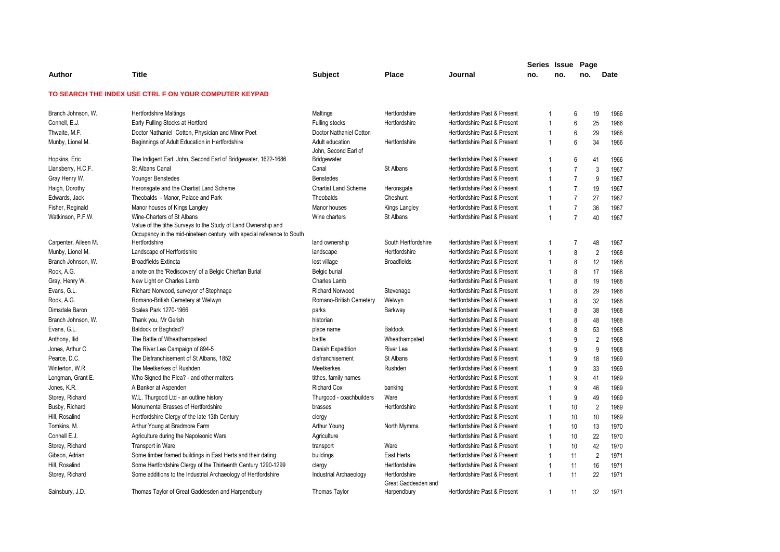|                      |                                                                                                                                         |                                         |                                      |                              | Series Issue Page |     |                |                |      |
|----------------------|-----------------------------------------------------------------------------------------------------------------------------------------|-----------------------------------------|--------------------------------------|------------------------------|-------------------|-----|----------------|----------------|------|
| Author               | <b>Title</b>                                                                                                                            | Subject                                 | <b>Place</b>                         | Journal                      | no.               | no. | no.            |                | Date |
|                      | TO SEARCH THE INDEX USE CTRL F ON YOUR COMPUTER KEYPAD                                                                                  |                                         |                                      |                              |                   |     |                |                |      |
| Branch Johnson, W.   | <b>Hertfordshire Maltings</b>                                                                                                           | Maltings                                | Hertfordshire                        | Hertfordshire Past & Present | 1                 |     | 6              | 19             | 1966 |
| Connell, E.J.        | Early Fulling Stocks at Hertford                                                                                                        | Fulling stocks                          | Hertfordshire                        | Hertfordshire Past & Present | $\overline{1}$    |     | 6              | 25             | 1966 |
| Thwaite, M.F.        | Doctor Nathaniel Cotton, Physician and Minor Poet                                                                                       | Doctor Nathaniel Cotton                 |                                      | Hertfordshire Past & Present | $\mathbf{1}$      |     | 6              | 29             | 1966 |
| Munby, Lionel M.     | Beginnings of Adult Education in Hertfordshire                                                                                          | Adult education<br>John, Second Earl of | Hertfordshire                        | Hertfordshire Past & Present | $\overline{1}$    |     | 6              | 34             | 1966 |
| Hopkins, Eric        | The Indigent Earl: John, Second Earl of Bridgewater, 1622-1686                                                                          | Bridgewater                             |                                      | Hertfordshire Past & Present |                   |     | 6              | 41             | 1966 |
| Llansberry, H.C.F.   | St Albans Canal                                                                                                                         | Canal                                   | St Albans                            | Hertfordshire Past & Present | $\mathbf{1}$      |     | $\overline{7}$ | 3              | 1967 |
| Gray Henry W.        | Younger Benstedes                                                                                                                       | <b>Benstedes</b>                        |                                      | Hertfordshire Past & Present | $\mathbf 1$       |     | $\overline{7}$ | 9              | 1967 |
| Haigh, Dorothy       | Heronsgate and the Chartist Land Scheme                                                                                                 | <b>Chartist Land Scheme</b>             | Heronsgate                           | Hertfordshire Past & Present |                   |     | $\overline{7}$ | 19             | 1967 |
| Edwards, Jack        | Theobalds - Manor, Palace and Park                                                                                                      | Theobalds                               | Cheshunt                             | Hertfordshire Past & Present | $\overline{1}$    |     | $\overline{7}$ | 27             | 1967 |
| Fisher, Reginald     | Manor houses of Kings Langley                                                                                                           | Manor houses                            | Kings Langley                        | Hertfordshire Past & Present | $\mathbf{1}$      |     | $\overline{7}$ | 36             | 1967 |
| Watkinson, P.F.W.    | Wine-Charters of St Albans                                                                                                              | Wine charters                           | St Albans                            | Hertfordshire Past & Present | $\mathbf{1}$      |     | $\overline{7}$ | 40             | 1967 |
|                      | Value of the tithe Surveys to the Study of Land Ownership and<br>Occupancy in the mid-nineteen century, with special reference to South |                                         |                                      |                              |                   |     |                |                |      |
| Carpenter, Aileen M. | Hertfordshire                                                                                                                           | land ownership                          | South Hertfordshire                  | Hertfordshire Past & Present |                   |     | $\overline{7}$ | 48             | 1967 |
| Munby, Lionel M.     | Landscape of Hertfordshire                                                                                                              | landscape                               | Hertfordshire                        | Hertfordshire Past & Present |                   |     | 8              | $\overline{2}$ | 1968 |
| Branch Johnson, W.   | <b>Broadfields Extincta</b>                                                                                                             | lost village                            | <b>Broadfields</b>                   | Hertfordshire Past & Present | $\overline{1}$    |     | 8              | 12             | 1968 |
| Rook, A.G.           | a note on the 'Rediscovery' of a Belgic Chieftan Burial                                                                                 | Belgic burial                           |                                      | Hertfordshire Past & Present | 1                 |     | 8              | 17             | 1968 |
| Gray, Henry W.       | New Light on Charles Lamb                                                                                                               | Charles Lamb                            |                                      | Hertfordshire Past & Present |                   |     | 8              | 19             | 1968 |
| Evans, G.L.          | Richard Norwood, surveyor of Stephnage                                                                                                  | <b>Richard Norwood</b>                  | Stevenage                            | Hertfordshire Past & Present | $\overline{1}$    |     | 8              | 29             | 1968 |
| Rook, A.G.           | Romano-British Cemetery at Welwyn                                                                                                       | Romano-British Cemetery                 | Welwyn                               | Hertfordshire Past & Present | 1                 |     | 8              | 32             | 1968 |
| Dimsdale Baron       | Scales Park 1270-1966                                                                                                                   | parks                                   | Barkway                              | Hertfordshire Past & Present |                   |     | 8              | 38             | 1968 |
| Branch Johnson, W.   | Thank you, Mr Gerish                                                                                                                    | historian                               |                                      | Hertfordshire Past & Present | $\mathbf{1}$      |     | 8              | 48             | 1968 |
| Evans, G.L.          | Baldock or Baghdad?                                                                                                                     | place name                              | Baldock                              | Hertfordshire Past & Present |                   |     | 8              | 53             | 1968 |
| Anthony, Ilid        | The Battle of Wheathampstead                                                                                                            | battle                                  | Wheathampsted                        | Hertfordshire Past & Present |                   |     | 9              | $\overline{2}$ | 1968 |
| Jones, Arthur C.     | The River Lea Campaign of 894-5                                                                                                         | Danish Expedition                       | <b>River Lea</b>                     | Hertfordshire Past & Present | $\mathbf{1}$      |     | 9              | 9              | 1968 |
| Pearce, D.C.         | The Disfranchisement of St Albans, 1852                                                                                                 | disfranchisement                        | St Albans                            | Hertfordshire Past & Present |                   |     | 9              | 18             | 1969 |
| Winterton, W.R.      | The Meetkerkes of Rushden                                                                                                               | Meetkerkes                              | Rushden                              | Hertfordshire Past & Present |                   |     | 9              | 33             | 1969 |
| Longman, Grant E.    | Who Signed the Plea? - and other matters                                                                                                | tithes, family names                    |                                      | Hertfordshire Past & Present | 1                 |     | 9              | 41             | 1969 |
| Jones, K.R.          | A Banker at Aspenden                                                                                                                    | <b>Richard Cox</b>                      | banking                              | Hertfordshire Past & Present |                   |     | 9              | 46             | 1969 |
| Storey, Richard      | W.L. Thurgood Ltd - an outline history                                                                                                  | Thurgood - coachbuilders                | Ware                                 | Hertfordshire Past & Present |                   |     | 9              | 49             | 1969 |
| Busby, Richard       | Monumental Brasses of Hertfordshire                                                                                                     | brasses                                 | Hertfordshire                        | Hertfordshire Past & Present | 1                 |     | 10             | $\overline{2}$ | 1969 |
| Hill, Rosalind       | Hertfordshire Clergy of the late 13th Century                                                                                           | clergy                                  |                                      | Hertfordshire Past & Present | $\mathbf 1$       |     | 10             | 10             | 1969 |
| Tomkins, M.          | Arthur Young at Bradmore Farm                                                                                                           | Arthur Young                            | North Mymms                          | Hertfordshire Past & Present |                   |     | 10             | 13             | 1970 |
| Connell E.J.         | Agriculture during the Napoleonic Wars                                                                                                  | Agriculture                             |                                      | Hertfordshire Past & Present | $\overline{1}$    |     | 10             | 22             | 1970 |
| Storey, Richard      | <b>Transport in Ware</b>                                                                                                                | transport                               | Ware                                 | Hertfordshire Past & Present | $\mathbf{1}$      |     | 10             | 42             | 1970 |
| Gibson, Adrian       | Some timber framed buildings in East Herts and their dating                                                                             | buildings                               | East Herts                           | Hertfordshire Past & Present | $\overline{1}$    |     | 11             | $\overline{2}$ | 1971 |
| Hill, Rosalind       | Some Hertfordshire Clergy of the Thirteenth Century 1290-1299                                                                           | clergy                                  | Hertfordshire                        | Hertfordshire Past & Present | $\overline{1}$    |     | 11             | 16             | 1971 |
| Storey, Richard      | Some additions to the Industrial Archaeology of Hertfordshire                                                                           | Industrial Archaeology                  | Hertfordshire<br>Great Gaddesden and | Hertfordshire Past & Present | $\mathbf{1}$      |     | 11             | 22             | 1971 |
| Sainsbury, J.D.      | Thomas Taylor of Great Gaddesden and Harpendbury                                                                                        | <b>Thomas Tavlor</b>                    | Harpendbury                          | Hertfordshire Past & Present | $\mathbf 1$       |     | 11             | 32             | 1971 |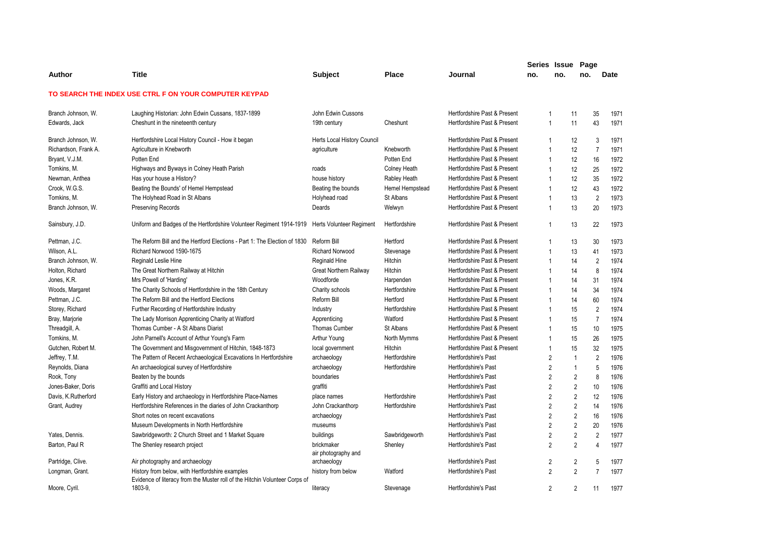|                      |                                                                                                                                |                             |                     |                              | Series Issue Page |                |                         |                |      |
|----------------------|--------------------------------------------------------------------------------------------------------------------------------|-----------------------------|---------------------|------------------------------|-------------------|----------------|-------------------------|----------------|------|
| Author               | <b>Title</b>                                                                                                                   | <b>Subject</b>              | <b>Place</b>        | Journal                      | no.               | no.            | no.                     |                | Date |
|                      | TO SEARCH THE INDEX USE CTRL F ON YOUR COMPUTER KEYPAD                                                                         |                             |                     |                              |                   |                |                         |                |      |
| Branch Johnson, W.   | Laughing Historian: John Edwin Cussans, 1837-1899                                                                              | John Edwin Cussons          |                     | Hertfordshire Past & Present | $\overline{1}$    |                | 11                      | 35             | 1971 |
| Edwards, Jack        | Cheshunt in the nineteenth century                                                                                             | 19th century                | Cheshunt            | Hertfordshire Past & Present | $\overline{1}$    |                | 11                      | 43             | 1971 |
| Branch Johnson, W.   | Hertfordshire Local History Council - How it began                                                                             | Herts Local History Council |                     | Hertfordshire Past & Present | $\mathbf 1$       |                | 12                      | 3              | 1971 |
| Richardson, Frank A. | Agriculture in Knebworth                                                                                                       | agriculture                 | Knebworth           | Hertfordshire Past & Present | $\overline{1}$    |                | 12                      | $\overline{7}$ | 1971 |
| Bryant, V.J.M.       | Potten End                                                                                                                     |                             | Potten End          | Hertfordshire Past & Present | $\overline{1}$    |                | 12                      | 16             | 1972 |
| Tomkins, M.          | Highways and Byways in Colney Heath Parish                                                                                     | roads                       | <b>Colney Heath</b> | Hertfordshire Past & Present | $\overline{1}$    |                | 12                      | 25             | 1972 |
| Newman, Anthea       | Has your house a History?                                                                                                      | house history               | Rabley Heath        | Hertfordshire Past & Present | $\overline{1}$    |                | 12                      | 35             | 1972 |
| Crook, W.G.S.        | Beating the Bounds' of Hemel Hempstead                                                                                         | Beating the bounds          | Hemel Hempstead     | Hertfordshire Past & Present | $\overline{1}$    |                | 12                      | 43             | 1972 |
| Tomkins, M.          | The Holyhead Road in St Albans                                                                                                 | Holyhead road               | St Albans           | Hertfordshire Past & Present |                   |                | 13                      | $\overline{2}$ | 1973 |
| Branch Johnson, W.   | <b>Preserving Records</b>                                                                                                      | Deards                      | Welwyn              | Hertfordshire Past & Present | $\overline{1}$    |                | 13                      | 20             | 1973 |
| Sainsbury, J.D.      | Uniform and Badges of the Hertfordshire Volunteer Regiment 1914-1919                                                           | Herts Volunteer Regiment    | Hertfordshire       | Hertfordshire Past & Present | $\mathbf{1}$      |                | 13                      | 22             | 1973 |
| Pettman, J.C.        | The Reform Bill and the Hertford Elections - Part 1: The Election of 1830                                                      | Reform Bill                 | Hertford            | Hertfordshire Past & Present | $\mathbf{1}$      |                | 13                      | 30             | 1973 |
| Wilson, A.L.         | Richard Norwood 1590-1675                                                                                                      | <b>Richard Norwood</b>      | Stevenage           | Hertfordshire Past & Present | $\overline{1}$    |                | 13                      | 41             | 1973 |
| Branch Johnson, W.   | Reginald Leslie Hine                                                                                                           | Reginald Hine               | Hitchin             | Hertfordshire Past & Present | $\overline{1}$    |                | 14                      | $\overline{2}$ | 1974 |
| Holton, Richard      | The Great Northern Railway at Hitchin                                                                                          | Great Northern Railway      | Hitchin             | Hertfordshire Past & Present | $\overline{1}$    |                | 14                      | 8              | 1974 |
| Jones, K.R.          | Mrs Powell of 'Harding'                                                                                                        | Woodforde                   | Harpenden           | Hertfordshire Past & Present | $\overline{1}$    |                | 14                      | 31             | 1974 |
| Woods, Margaret      | The Charity Schools of Hertfordshire in the 18th Century                                                                       | Charity schools             | Hertfordshire       | Hertfordshire Past & Present | $\overline{1}$    |                | 14                      | 34             | 1974 |
| Pettman, J.C.        | The Reform Bill and the Hertford Elections                                                                                     | Reform Bill                 | Hertford            | Hertfordshire Past & Present | $\overline{1}$    |                | 14                      | 60             | 1974 |
| Storey, Richard      | Further Recording of Hertfordshire Industry                                                                                    | Industry                    | Hertfordshire       | Hertfordshire Past & Present | $\overline{1}$    |                | 15                      | $\overline{2}$ | 1974 |
| Bray, Marjorie       | The Lady Morrison Apprenticing Charity at Watford                                                                              | Apprenticing                | Watford             | Hertfordshire Past & Present | $\overline{1}$    |                | 15                      | $\overline{7}$ | 1974 |
| Threadgill, A.       | Thomas Cumber - A St Albans Diarist                                                                                            | Thomas Cumber               | St Albans           | Hertfordshire Past & Present | $\overline{1}$    |                | 15                      | 10             | 1975 |
| Tomkins, M.          | John Parnell's Account of Arthur Young's Farm                                                                                  | Arthur Young                | North Mymms         | Hertfordshire Past & Present | $\overline{1}$    |                | 15                      | 26             | 1975 |
| Gutchen, Robert M.   | The Government and Misgovernment of Hitchin, 1848-1873                                                                         | local government            | Hitchin             | Hertfordshire Past & Present | $\mathbf{1}$      |                | 15                      | 32             | 1975 |
| Jeffrey, T.M.        | The Pattern of Recent Archaeological Excavations In Hertfordshire                                                              | archaeology                 | Hertfordshire       | Hertfordshire's Past         | $\overline{2}$    |                | $\mathbf{1}$            | $\overline{2}$ | 1976 |
| Reynolds, Diana      | An archaeological survey of Hertfordshire                                                                                      | archaeology                 | Hertfordshire       | Hertfordshire's Past         | $\overline{2}$    |                | $\mathbf{1}$            | 5              | 1976 |
| Rook, Tony           | Beaten by the bounds                                                                                                           | boundaries                  |                     | Hertfordshire's Past         | $\overline{2}$    |                | $\overline{\mathbf{c}}$ | 8              | 1976 |
| Jones-Baker, Doris   | Graffiti and Local History                                                                                                     | graffiti                    |                     | Hertfordshire's Past         | $\overline{2}$    |                | $\overline{2}$          | 10             | 1976 |
| Davis, K.Rutherford  | Early History and archaeology in Hertfordshire Place-Names                                                                     | place names                 | Hertfordshire       | <b>Hertfordshire's Past</b>  |                   | $\overline{2}$ | 2                       | 12             | 1976 |
| Grant, Audrey        | Hertfordshire References in the diaries of John Crackanthorp                                                                   | John Crackanthorp           | Hertfordshire       | <b>Hertfordshire's Past</b>  | $\overline{2}$    |                | $\overline{2}$          | 14             | 1976 |
|                      | Short notes on recent excavations                                                                                              | archaeology                 |                     | Hertfordshire's Past         | $\overline{2}$    |                | 2                       | 16             | 1976 |
|                      | Museum Developments in North Hertfordshire                                                                                     | museums                     |                     | <b>Hertfordshire's Past</b>  | $\overline{2}$    |                | $\overline{2}$          | 20             | 1976 |
| Yates, Dennis.       | Sawbridgeworth: 2 Church Street and 1 Market Square                                                                            | buildings                   | Sawbridgeworth      | <b>Hertfordshire's Past</b>  | $\overline{2}$    |                | $\overline{2}$          | $\overline{2}$ | 1977 |
| Barton, Paul R       | The Shenley research project                                                                                                   | brickmaker                  | Shenley             | Hertfordshire's Past         |                   | 2              | $\overline{2}$          | 4              | 1977 |
|                      |                                                                                                                                | air photography and         |                     |                              |                   |                |                         |                |      |
| Partridge, Clive.    | Air photography and archaeology                                                                                                | archaeology                 |                     | <b>Hertfordshire's Past</b>  |                   | 2              | $\overline{2}$          | 5              | 1977 |
| Longman, Grant.      | History from below, with Hertfordshire examples<br>Evidence of literacy from the Muster roll of the Hitchin Volunteer Corps of | history from below          | Watford             | <b>Hertfordshire's Past</b>  |                   | 2              | $\overline{2}$          | $\overline{7}$ | 1977 |
| Moore, Cyril.        | 1803-9.                                                                                                                        | literacy                    | Stevenage           | <b>Hertfordshire's Past</b>  | $\overline{2}$    |                | $\overline{2}$          | 11             | 1977 |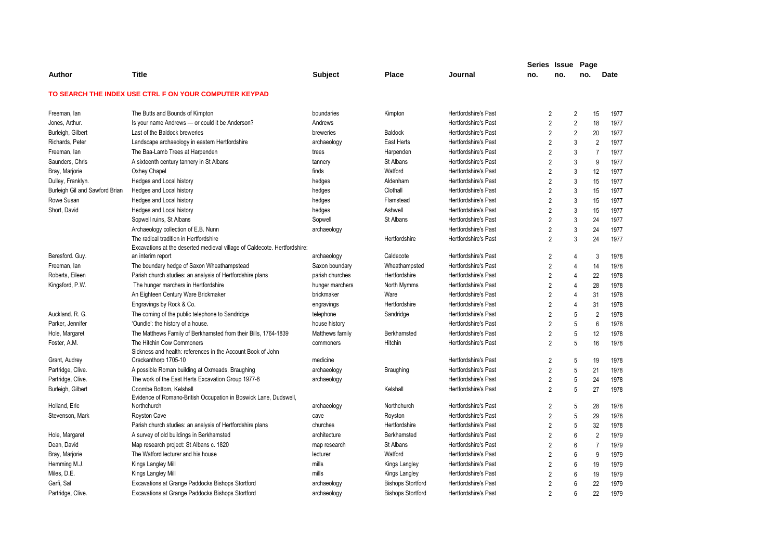|                                |                                                                                     |                 |                          |                             |                | Series Issue   | Page           |                |      |
|--------------------------------|-------------------------------------------------------------------------------------|-----------------|--------------------------|-----------------------------|----------------|----------------|----------------|----------------|------|
| Author                         | <b>Title</b>                                                                        | Subject         | Place                    | Journal                     | no.            | no.            | no.            |                | Date |
|                                | TO SEARCH THE INDEX USE CTRL F ON YOUR COMPUTER KEYPAD                              |                 |                          |                             |                |                |                |                |      |
| Freeman, lan                   | The Butts and Bounds of Kimpton                                                     | boundaries      | Kimpton                  | Hertfordshire's Past        |                | $\overline{2}$ | $\overline{c}$ | 15             | 1977 |
| Jones, Arthur.                 | Is your name Andrews - or could it be Anderson?                                     | Andrews         |                          | Hertfordshire's Past        | $\overline{2}$ |                | $\overline{2}$ | 18             | 1977 |
| Burleigh, Gilbert              | Last of the Baldock breweries                                                       | breweries       | <b>Baldock</b>           | <b>Hertfordshire's Past</b> |                | $\overline{2}$ | $\overline{2}$ | 20             | 1977 |
| Richards, Peter                | Landscape archaeology in eastern Hertfordshire                                      | archaeology     | East Herts               | <b>Hertfordshire's Past</b> | $\overline{2}$ |                | 3              | $\overline{2}$ | 1977 |
| Freeman, lan                   | The Baa-Lamb Trees at Harpenden                                                     | trees           | Harpenden                | Hertfordshire's Past        |                | $\overline{2}$ | 3              | $\overline{7}$ | 1977 |
| Saunders, Chris                | A sixteenth century tannery in St Albans                                            | tannery         | St Albans                | Hertfordshire's Past        |                | $\overline{2}$ | 3              | 9              | 1977 |
| Bray, Marjorie                 | Oxhey Chapel                                                                        | finds           | Watford                  | <b>Hertfordshire's Past</b> |                | $\overline{2}$ | 3              | 12             | 1977 |
| Dulley, Franklyn.              | Hedges and Local history                                                            | hedges          | Aldenham                 | <b>Hertfordshire's Past</b> | $\overline{2}$ |                | 3              | 15             | 1977 |
| Burleigh Gil and Sawford Brian | Hedges and Local history                                                            | hedges          | Clothall                 | <b>Hertfordshire's Past</b> |                | $\overline{2}$ | 3              | 15             | 1977 |
| Rowe Susan                     | Hedges and Local history                                                            | hedges          | Flamstead                | Hertfordshire's Past        | $\overline{2}$ |                | 3              | 15             | 1977 |
| Short, David                   | Hedges and Local history                                                            | hedges          | Ashwell                  | <b>Hertfordshire's Past</b> | $\overline{2}$ |                | 3              | 15             | 1977 |
|                                | Sopwell ruins, St Albans                                                            | Sopwell         | St Albans                | <b>Hertfordshire's Past</b> |                | 2              | 3              | 24             | 1977 |
|                                | Archaeology collection of E.B. Nunn                                                 | archaeology     |                          | Hertfordshire's Past        |                | $\overline{2}$ | 3              | 24             | 1977 |
|                                | The radical tradition in Hertfordshire                                              |                 | Hertfordshire            | Hertfordshire's Past        |                | $\overline{2}$ | 3              | 24             | 1977 |
|                                | Excavations at the deserted medieval village of Caldecote. Hertfordshire:           |                 |                          |                             |                |                |                |                |      |
| Beresford. Guy.                | an interim report                                                                   | archaeology     | Caldecote                | <b>Hertfordshire's Past</b> |                | 2              | 4              | 3              | 1978 |
| Freeman, lan                   | The boundary hedge of Saxon Wheathampstead                                          | Saxon boundary  | Wheathampsted            | Hertfordshire's Past        |                | $\overline{2}$ | 4              | 14             | 1978 |
| Roberts, Eileen                | Parish church studies: an analysis of Hertfordshire plans                           | parish churches | Hertfordshire            | <b>Hertfordshire's Past</b> | $\overline{2}$ |                | $\overline{4}$ | 22             | 1978 |
| Kingsford, P.W.                | The hunger marchers in Hertfordshire                                                | hunger marchers | North Mymms              | Hertfordshire's Past        | $\overline{2}$ |                | $\overline{4}$ | 28             | 1978 |
|                                | An Eighteen Century Ware Brickmaker                                                 | brickmaker      | Ware                     | <b>Hertfordshire's Past</b> |                | $\overline{2}$ | $\overline{4}$ | 31             | 1978 |
|                                | Engravings by Rock & Co.                                                            | engravings      | Hertfordshire            | Hertfordshire's Past        |                | $\overline{2}$ | $\overline{4}$ | 31             | 1978 |
| Auckland. R. G.                | The coming of the public telephone to Sandridge                                     | telephone       | Sandridge                | Hertfordshire's Past        |                | $\overline{2}$ | 5              | $\overline{2}$ | 1978 |
| Parker, Jennifer               | 'Oundle': the history of a house.                                                   | house history   |                          | Hertfordshire's Past        |                | $\overline{2}$ | 5              | $6\phantom{1}$ | 1978 |
| Hole, Margaret                 | The Matthews Family of Berkhamsted from their Bills, 1764-1839                      | Matthews family | Berkhamsted              | Hertfordshire's Past        |                | $\overline{2}$ | 5              | 12             | 1978 |
| Foster, A.M.                   | The Hitchin Cow Commoners                                                           | commoners       | Hitchin                  | Hertfordshire's Past        |                | $\overline{2}$ | 5              | 16             | 1978 |
| Grant, Audrey                  | Sickness and health: references in the Account Book of John<br>Crackanthorp 1705-10 | medicine        |                          | Hertfordshire's Past        |                | 2              | 5              | 19             | 1978 |
| Partridge, Clive.              | A possible Roman building at Oxmeads, Braughing                                     | archaeology     | Braughing                | Hertfordshire's Past        |                | $\overline{2}$ | 5              | 21             | 1978 |
| Partridge, Clive.              | The work of the East Herts Excavation Group 1977-8                                  | archaeology     |                          | <b>Hertfordshire's Past</b> |                | $\overline{2}$ | 5              | 24             | 1978 |
| Burleigh, Gilbert              | Coombe Bottom, Kelshall                                                             |                 | Kelshall                 | Hertfordshire's Past        |                | $\overline{2}$ | 5              | 27             | 1978 |
|                                | Evidence of Romano-British Occupation in Boswick Lane, Dudswell,                    |                 |                          |                             |                |                |                |                |      |
| Holland, Eric                  | Northchurch                                                                         | archaeology     | Northchurch              | <b>Hertfordshire's Past</b> |                | 2              | 5              | 28             | 1978 |
| Stevenson, Mark                | <b>Royston Cave</b>                                                                 | cave            | Royston                  | <b>Hertfordshire's Past</b> |                | $\overline{2}$ | 5              | 29             | 1978 |
|                                | Parish church studies: an analysis of Hertfordshire plans                           | churches        | Hertfordshire            | <b>Hertfordshire's Past</b> |                | $\overline{2}$ | 5              | 32             | 1978 |
| Hole, Margaret                 | A survey of old buildings in Berkhamsted                                            | architecture    | Berkhamsted              | <b>Hertfordshire's Past</b> |                | $\overline{2}$ | 6              | $\overline{2}$ | 1979 |
| Dean, David                    | Map research project: St Albans c. 1820                                             | map research    | St Albans                | Hertfordshire's Past        |                | $\overline{2}$ | 6              | $\overline{7}$ | 1979 |
| Bray, Marjorie                 | The Watford lecturer and his house                                                  | lecturer        | Watford                  | Hertfordshire's Past        | $\overline{2}$ |                | 6              | 9              | 1979 |
| Hemming M.J.                   | Kings Langley Mill                                                                  | mills           | Kings Langley            | <b>Hertfordshire's Past</b> |                | 2              | 6              | 19             | 1979 |
| Miles, D.E.                    | Kings Langley Mill                                                                  | mills           | Kings Langley            | Hertfordshire's Past        |                | $\overline{2}$ | 6              | 19             | 1979 |
| Garfi, Sal                     | Excavations at Grange Paddocks Bishops Stortford                                    | archaeology     | <b>Bishops Stortford</b> | Hertfordshire's Past        | $\overline{2}$ |                | 6              | 22             | 1979 |
| Partridge, Clive.              | Excavations at Grange Paddocks Bishops Stortford                                    | archaeology     | <b>Bishops Stortford</b> | Hertfordshire's Past        |                | $\overline{2}$ | 6              | 22             | 1979 |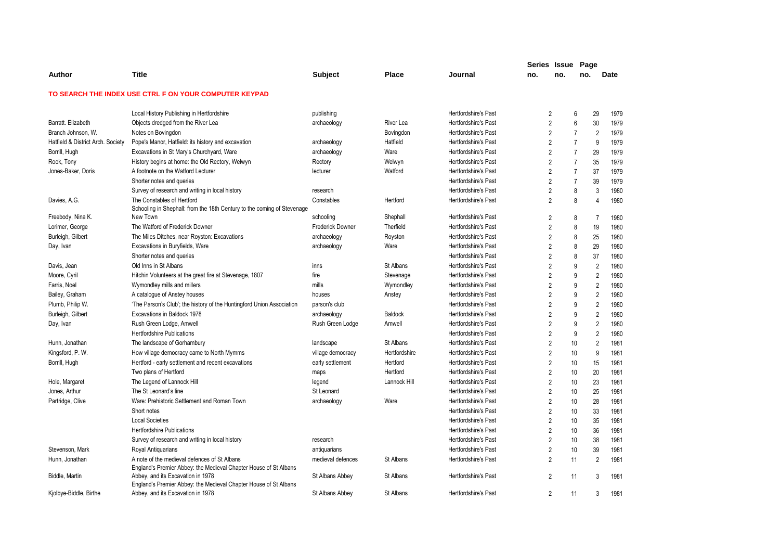|                                   |                                                                                                       |                   |               |                             | Series Issue   |     | Page           |                |             |
|-----------------------------------|-------------------------------------------------------------------------------------------------------|-------------------|---------------|-----------------------------|----------------|-----|----------------|----------------|-------------|
| Author                            | <b>Title</b>                                                                                          | <b>Subject</b>    | <b>Place</b>  | Journal                     | no.            | no. | no.            |                | <b>Date</b> |
|                                   | TO SEARCH THE INDEX USE CTRL F ON YOUR COMPUTER KEYPAD                                                |                   |               |                             |                |     |                |                |             |
|                                   | Local History Publishing in Hertfordshire                                                             | publishing        |               | <b>Hertfordshire's Past</b> | $\overline{2}$ |     | 6              | 29             | 1979        |
| Barratt. Elizabeth                | Objects dredged from the River Lea                                                                    | archaeology       | River Lea     | <b>Hertfordshire's Past</b> | $\overline{2}$ |     | 6              | 30             | 1979        |
| Branch Johnson, W.                | Notes on Bovingdon                                                                                    |                   | Bovingdon     | Hertfordshire's Past        | $\overline{2}$ |     | $\overline{7}$ | $\overline{2}$ | 1979        |
| Hatfield & District Arch. Society | Pope's Manor, Hatfield: its history and excavation                                                    | archaeology       | Hatfield      | <b>Hertfordshire's Past</b> | $\overline{2}$ |     | $\overline{7}$ | 9              | 1979        |
| Borrill, Hugh                     | Excavations in St Mary's Churchyard, Ware                                                             | archaeology       | Ware          | <b>Hertfordshire's Past</b> | $\overline{2}$ |     | $\overline{7}$ | 29             | 1979        |
| Rook, Tony                        | History begins at home: the Old Rectory, Welwyn                                                       | Rectory           | Welwyn        | Hertfordshire's Past        | $\overline{2}$ |     | $\overline{7}$ | 35             | 1979        |
| Jones-Baker, Doris                | A footnote on the Watford Lecturer                                                                    | lecturer          | Watford       | <b>Hertfordshire's Past</b> | $\overline{2}$ |     | $\overline{7}$ | 37             | 1979        |
|                                   | Shorter notes and queries                                                                             |                   |               | Hertfordshire's Past        | $\overline{2}$ |     | $\overline{7}$ | 39             | 1979        |
|                                   | Survey of research and writing in local history                                                       | research          |               | Hertfordshire's Past        | $\overline{2}$ |     | 8              | 3              | 1980        |
| Davies, A.G.                      | The Constables of Hertford<br>Schooling in Shephall: from the 18th Century to the coming of Stevenage | Constables        | Hertford      | <b>Hertfordshire's Past</b> | $\overline{2}$ |     | 8              | $\overline{4}$ | 1980        |
| Freebody, Nina K.                 | New Town                                                                                              | schooling         | Shephall      | <b>Hertfordshire's Past</b> | 2              |     | 8              | $\overline{7}$ | 1980        |
| Lorimer, George                   | The Watford of Frederick Downer                                                                       | Frederick Downer  | Therfield     | <b>Hertfordshire's Past</b> | $\overline{2}$ |     | 8              | 19             | 1980        |
| Burleigh, Gilbert                 | The Miles Ditches, near Royston: Excavations                                                          | archaeology       | Royston       | <b>Hertfordshire's Past</b> | $\overline{2}$ |     | 8              | 25             | 1980        |
| Day, Ivan                         | Excavations in Buryfields, Ware                                                                       | archaeology       | Ware          | <b>Hertfordshire's Past</b> | $\overline{2}$ |     | 8              | 29             | 1980        |
|                                   | Shorter notes and queries                                                                             |                   |               | <b>Hertfordshire's Past</b> | $\overline{2}$ |     | 8              | 37             | 1980        |
| Davis, Jean                       | Old Inns in St Albans                                                                                 | inns              | St Albans     | <b>Hertfordshire's Past</b> | $\overline{2}$ |     | 9              | $\overline{2}$ | 1980        |
| Moore, Cyril                      | Hitchin Volunteers at the great fire at Stevenage, 1807                                               | fire              | Stevenage     | <b>Hertfordshire's Past</b> | $\overline{2}$ |     | 9              | $\overline{2}$ | 1980        |
| Farris, Noel                      | Wymondley mills and millers                                                                           | mills             | Wymondley     | <b>Hertfordshire's Past</b> | $\overline{2}$ |     | 9              | $\sqrt{2}$     | 1980        |
| Bailey, Graham                    | A catalogue of Anstey houses                                                                          | houses            | Anstey        | Hertfordshire's Past        | $\overline{2}$ |     | 9              | $\overline{2}$ | 1980        |
| Plumb, Philip W.                  | 'The Parson's Club'; the history of the Huntingford Union Association                                 | parson's club     |               | <b>Hertfordshire's Past</b> | $\overline{2}$ |     | 9              | $\overline{2}$ | 1980        |
| Burleigh, Gilbert                 | Excavations in Baldock 1978                                                                           | archaeology       | Baldock       | Hertfordshire's Past        | $\overline{2}$ |     | 9              | $\overline{2}$ | 1980        |
| Day, Ivan                         | Rush Green Lodge, Amwell                                                                              | Rush Green Lodge  | Amwell        | <b>Hertfordshire's Past</b> | $\overline{2}$ |     | 9              | $\overline{2}$ | 1980        |
|                                   | <b>Hertfordshire Publications</b>                                                                     |                   |               | <b>Hertfordshire's Past</b> | $\overline{2}$ |     | 9              | $\overline{2}$ | 1980        |
| Hunn, Jonathan                    | The landscape of Gorhambury                                                                           | landscape         | St Albans     | Hertfordshire's Past        | $\overline{2}$ |     | 10             | $\overline{2}$ | 1981        |
| Kingsford, P. W.                  | How village democracy came to North Mymms                                                             | village democracy | Hertfordshire | <b>Hertfordshire's Past</b> | $\overline{2}$ |     | 10             | 9              | 1981        |
| Borrill, Hugh                     | Hertford - early settlement and recent excavations                                                    | early settlement  | Hertford      | <b>Hertfordshire's Past</b> | $\overline{2}$ |     | 10             | 15             | 1981        |
|                                   | Two plans of Hertford                                                                                 | maps              | Hertford      | Hertfordshire's Past        | $\overline{2}$ |     | 10             | 20             | 1981        |
| Hole, Margaret                    | The Legend of Lannock Hill                                                                            | legend            | Lannock Hill  | <b>Hertfordshire's Past</b> | $\overline{2}$ |     | 10             | 23             | 1981        |
| Jones, Arthur                     | The St Leonard's line                                                                                 | St Leonard        |               | <b>Hertfordshire's Past</b> | $\overline{2}$ |     | 10             | 25             | 1981        |
| Partridge, Clive                  | Ware: Prehistoric Settlement and Roman Town                                                           | archaeology       | Ware          | Hertfordshire's Past        | $\overline{2}$ |     | 10             | 28             | 1981        |
|                                   | Short notes                                                                                           |                   |               | <b>Hertfordshire's Past</b> | $\overline{2}$ |     | 10             | 33             | 1981        |
|                                   | <b>Local Societies</b>                                                                                |                   |               | <b>Hertfordshire's Past</b> | $\overline{2}$ |     | 10             | 35             | 1981        |
|                                   | <b>Hertfordshire Publications</b>                                                                     |                   |               | Hertfordshire's Past        | $\overline{2}$ |     | 10             | 36             | 1981        |
|                                   | Survey of research and writing in local history                                                       | research          |               | <b>Hertfordshire's Past</b> | $\overline{2}$ |     | 10             | 38             | 1981        |
| Stevenson, Mark                   | Royal Antiguarians                                                                                    | antiquarians      |               | Hertfordshire's Past        | $\overline{2}$ |     | 10             | 39             | 1981        |
| Hunn, Jonathan                    | A note of the medieval defences of St Albans                                                          | medieval defences | St Albans     | Hertfordshire's Past        | $\overline{2}$ |     | 11             | $\overline{2}$ | 1981        |
|                                   | England's Premier Abbey: the Medieval Chapter House of St Albans                                      |                   |               |                             |                |     |                |                |             |
| Biddle, Martin                    | Abbey, and its Excavation in 1978<br>England's Premier Abbey: the Medieval Chapter House of St Albans | St Albans Abbey   | St Albans     | <b>Hertfordshire's Past</b> | 2              |     | 11             | 3              | 1981        |
| Kjolbye-Biddle, Birthe            | Abbey, and its Excavation in 1978                                                                     | St Albans Abbey   | St Albans     | <b>Hertfordshire's Past</b> | $\overline{2}$ |     | 11             | 3              | 1981        |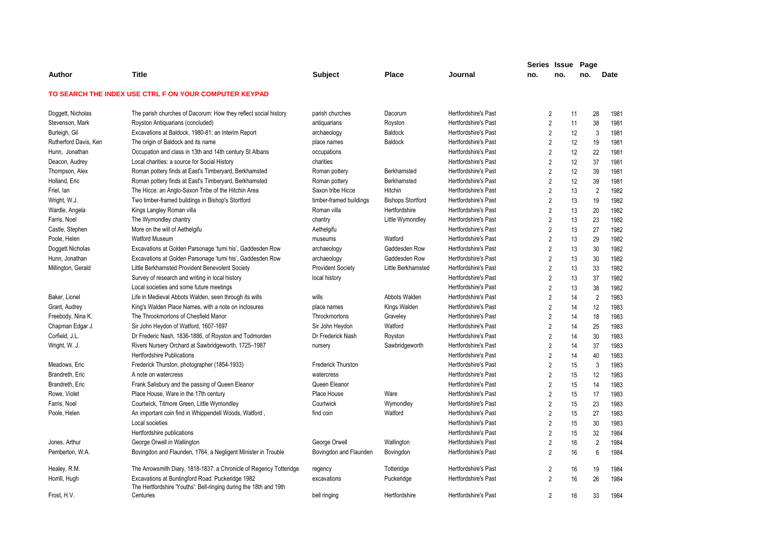|                       |                                                                                                                       |                           |                          |                             | Series Issue   |     | Page     |                        |
|-----------------------|-----------------------------------------------------------------------------------------------------------------------|---------------------------|--------------------------|-----------------------------|----------------|-----|----------|------------------------|
| Author                | <b>Title</b>                                                                                                          | <b>Subject</b>            | <b>Place</b>             | Journal                     | no.            | no. | no.      | <b>Date</b>            |
|                       | TO SEARCH THE INDEX USE CTRL F ON YOUR COMPUTER KEYPAD                                                                |                           |                          |                             |                |     |          |                        |
| Doggett, Nicholas     | The parish churches of Dacorum: How they reflect social history                                                       | parish churches           | Dacorum                  | Hertfordshire's Past        | $\overline{2}$ |     | 28<br>11 | 1981                   |
| Stevenson, Mark       | Royston Antiquarians (concluded)                                                                                      | antiquarians              | Royston                  | Hertfordshire's Past        | $\overline{2}$ |     | 38<br>11 | 1981                   |
| Burleigh, Gil         | Excavations at Baldock, 1980-81: an Interim Report                                                                    | archaeology               | <b>Baldock</b>           | <b>Hertfordshire's Past</b> | $\overline{2}$ |     | 12       | 3<br>1981              |
| Rutherford Davis, Ken | The origin of Baldock and its name                                                                                    | place names               | <b>Baldock</b>           | Hertfordshire's Past        | $\overline{2}$ |     | 12<br>19 | 1981                   |
| Hunn, Jonathan        | Occupation and class in 13th and 14th century St Albans                                                               | occupations               |                          | <b>Hertfordshire's Past</b> | $\overline{2}$ |     | 12<br>22 | 1981                   |
| Deacon, Audrey        | Local charities: a source for Social History                                                                          | charities                 |                          | Hertfordshire's Past        | $\overline{2}$ |     | 12<br>37 | 1981                   |
| Thompson, Alex        | Roman pottery finds at East's Timberyard, Berkhamsted                                                                 | Roman pottery             | Berkhamsted              | Hertfordshire's Past        | $\overline{2}$ |     | 12<br>39 | 1981                   |
| Holland, Eric         | Roman pottery finds at East's Timberyard, Berkhamsted                                                                 | Roman pottery             | Berkhamsted              | Hertfordshire's Past        | $\overline{2}$ |     | 12<br>39 | 1981                   |
| Friel, lan            | The Hicce: an Anglo-Saxon Tribe of the Hitchin Area                                                                   | Saxon tribe Hicce         | Hitchin                  | Hertfordshire's Past        | $\overline{2}$ |     | 13       | $\overline{2}$<br>1982 |
| Wright, W.J.          | Two timber-framed buildings in Bishop's Stortford                                                                     | timber-framed buildings   | <b>Bishops Stortford</b> | <b>Hertfordshire's Past</b> | $\overline{2}$ |     | 13<br>19 | 1982                   |
| Wardle, Angela        | Kings Langley Roman villa                                                                                             | Roman villa               | Hertfordshire            | Hertfordshire's Past        | $\overline{2}$ |     | 13<br>20 | 1982                   |
| Farris, Noel          | The Wymondley chantry                                                                                                 | chantry                   | Little Wymondley         | <b>Hertfordshire's Past</b> | $\overline{2}$ |     | 23<br>13 | 1982                   |
| Castle, Stephen       | More on the will of Aethelgifu                                                                                        | Aethelgifu                |                          | Hertfordshire's Past        | $\overline{2}$ |     | 13<br>27 | 1982                   |
| Poole, Helen          | <b>Watford Museum</b>                                                                                                 | museums                   | Watford                  | Hertfordshire's Past        | $\overline{2}$ |     | 13<br>29 | 1982                   |
| Doggett Nicholas      | Excavations at Golden Parsonage 'tumi his', Gaddesden Row                                                             | archaeology               | Gaddesden Row            | <b>Hertfordshire's Past</b> | $\overline{2}$ |     | 13<br>30 | 1982                   |
| Hunn, Jonathan        | Excavations at Golden Parsonage 'tumi his', Gaddesden Row                                                             | archaeology               | Gaddesden Row            | Hertfordshire's Past        | $\overline{2}$ |     | 13<br>30 | 1982                   |
| Millington, Gerald    | Little Berkhamsted Provident Benevolent Society                                                                       | <b>Provident Society</b>  | Little Berkhamsted       | <b>Hertfordshire's Past</b> | $\overline{2}$ |     | 13<br>33 | 1982                   |
|                       | Survey of research and writing in local history                                                                       | local history             |                          | Hertfordshire's Past        | $\overline{2}$ |     | 13<br>37 | 1982                   |
|                       | Local societies and some future meetings                                                                              |                           |                          | Hertfordshire's Past        | $\overline{2}$ |     | 13<br>38 | 1982                   |
| Baker, Lionel         | Life in Medieval Abbots Walden, seen through its wills                                                                | wills                     | Abbots Walden            | Hertfordshire's Past        | $\overline{2}$ |     | 14       | $\overline{2}$<br>1983 |
| Grant, Audrey         | King's Walden Place Names, with a note on inclosures                                                                  | place names               | Kings Walden             | Hertfordshire's Past        | $\overline{2}$ |     | 12<br>14 | 1983                   |
| Freebody, Nina K.     | The Throckmortons of Chesfield Manor                                                                                  | Throckmortons             | Graveley                 | Hertfordshire's Past        | $\overline{2}$ |     | 14<br>18 | 1983                   |
| Chapman Edgar J.      | Sir John Heydon of Watford, 1607-1697                                                                                 | Sir John Heydon           | Watford                  | Hertfordshire's Past        | $\overline{2}$ |     | 14<br>25 | 1983                   |
| Corfield, J.L.        | Dr Frederic Nash, 1836-1886, of Royston and Todmorden                                                                 | Dr Frederick Nash         | Royston                  | Hertfordshire's Past        | $\overline{2}$ |     | 30<br>14 | 1983                   |
| Wright, W. J.         | Rivers Nursery Orchard at Sawbridgeworth, 1725-1987                                                                   | nursery                   | Sawbridgeworth           | Hertfordshire's Past        | $\overline{2}$ |     | 14<br>37 | 1983                   |
|                       | <b>Hertfordshire Publications</b>                                                                                     |                           |                          | <b>Hertfordshire's Past</b> | $\overline{2}$ |     | 40<br>14 | 1983                   |
| Meadows, Eric         | Frederick Thurston, photographer (1854-1933)                                                                          | <b>Frederick Thurston</b> |                          | Hertfordshire's Past        | $\overline{2}$ |     | 15       | 3<br>1983              |
| Brandreth, Eric       | A note on watercress                                                                                                  | watercress                |                          | Hertfordshire's Past        | $\overline{2}$ |     | 15<br>12 | 1983                   |
| Brandreth, Eric       | Frank Salisbury and the passing of Queen Eleanor                                                                      | Queen Eleanor             |                          | Hertfordshire's Past        | $\overline{2}$ |     | 15<br>14 | 1983                   |
| Rowe, Violet          | Place House, Ware in the 17th century                                                                                 | Place House               | Ware                     | Hertfordshire's Past        | $\overline{2}$ |     | 15<br>17 | 1983                   |
| Farris, Noel          | Courtwick, Titmore Green, Little Wymondley                                                                            | Courtwick                 | Wymondley                | Hertfordshire's Past        | $\overline{2}$ |     | 15<br>23 | 1983                   |
| Poole, Helen          | An important coin find in Whippendell Woods, Watford,                                                                 | find coin                 | Watford                  | Hertfordshire's Past        | $\overline{2}$ |     | 27<br>15 | 1983                   |
|                       | Local societies                                                                                                       |                           |                          | <b>Hertfordshire's Past</b> | $\overline{2}$ |     | 15<br>30 | 1983                   |
|                       | Hertfordshire publications                                                                                            |                           |                          | Hertfordshire's Past        | $\overline{2}$ |     | 15<br>32 | 1984                   |
| Jones, Arthur         | George Orwell in Wallington                                                                                           | George Orwell             | Wallington               | <b>Hertfordshire's Past</b> | $\overline{2}$ |     | 16       | $\overline{2}$<br>1984 |
| Pemberton, W.A.       | Bovingdon and Flaunden, 1764, a Negligent Minister in Trouble                                                         | Bovingdon and Flaunden    | Bovingdon                | Hertfordshire's Past        | $\overline{2}$ |     | 16       | 6<br>1984              |
| Healey, R.M.          | The Arrowsmith Diary, 1818-1837: a Chronicle of Regency Totteridge                                                    | regency                   | Totteridge               | Hertfordshire's Past        | $\overline{2}$ |     | 16<br>19 | 1984                   |
| Horrill, Hugh         | Excavations at Buntingford Road. Puckeridge 1982<br>The Hertfordshire 'Youths': Bell-ringing during the 18th and 19th | excavations               | Puckeridge               | <b>Hertfordshire's Past</b> | $\overline{2}$ |     | 26<br>16 | 1984                   |
| Frost, H.V.           | Centuries                                                                                                             | bell ringing              | Hertfordshire            | Hertfordshire's Past        | 2              |     | 16<br>33 | 1984                   |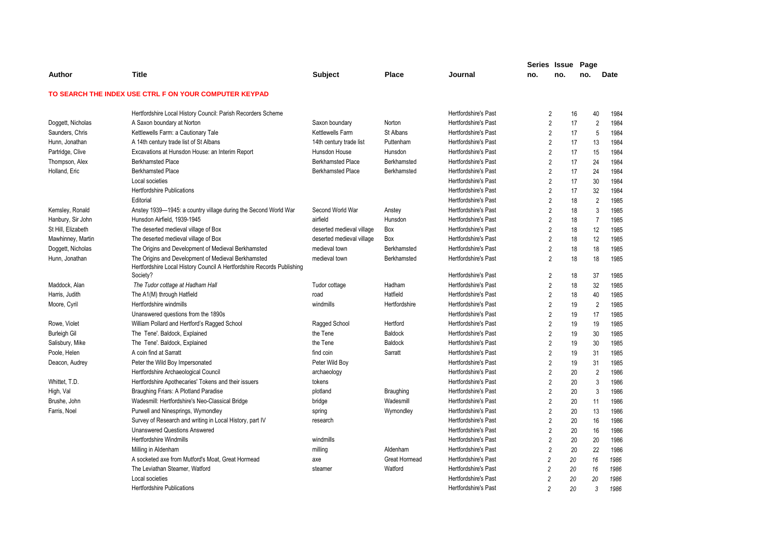|                     |                                                                        |                           |                      |                             | Series Issue   |     | Page |                        |
|---------------------|------------------------------------------------------------------------|---------------------------|----------------------|-----------------------------|----------------|-----|------|------------------------|
| Author              | Title                                                                  | <b>Subject</b>            | <b>Place</b>         | Journal                     | no.            | no. | no.  | <b>Date</b>            |
|                     | TO SEARCH THE INDEX USE CTRL F ON YOUR COMPUTER KEYPAD                 |                           |                      |                             |                |     |      |                        |
|                     | Hertfordshire Local History Council: Parish Recorders Scheme           |                           |                      | Hertfordshire's Past        | $\overline{2}$ |     | 16   | 40<br>1984             |
| Doggett, Nicholas   | A Saxon boundary at Norton                                             | Saxon boundary            | Norton               | Hertfordshire's Past        | $\overline{2}$ |     | 17   | $\overline{2}$<br>1984 |
| Saunders, Chris     | Kettlewells Farm: a Cautionary Tale                                    | Kettlewells Farm          | St Albans            | Hertfordshire's Past        | $\overline{2}$ |     | 17   | 5<br>1984              |
| Hunn, Jonathan      | A 14th century trade list of St Albans                                 | 14th century trade list   | Puttenham            | Hertfordshire's Past        | $\overline{2}$ |     | 17   | 13<br>1984             |
| Partridge, Clive    | Excavations at Hunsdon House: an Interim Report                        | Hunsdon House             | Hunsdon              | <b>Hertfordshire's Past</b> | $\overline{2}$ |     | 17   | 1984<br>15             |
| Thompson, Alex      | <b>Berkhamsted Place</b>                                               | <b>Berkhamsted Place</b>  | Berkhamsted          | Hertfordshire's Past        | $\overline{2}$ |     | 17   | 24<br>1984             |
| Holland, Eric       | <b>Berkhamsted Place</b>                                               | <b>Berkhamsted Place</b>  | Berkhamsted          | Hertfordshire's Past        | $\overline{2}$ |     | 17   | 24<br>1984             |
|                     | Local societies                                                        |                           |                      | Hertfordshire's Past        | $\overline{2}$ |     | 17   | 30<br>1984             |
|                     | <b>Hertfordshire Publications</b>                                      |                           |                      | Hertfordshire's Past        | $\overline{2}$ |     | 17   | 32<br>1984             |
|                     | Editorial                                                              |                           |                      | Hertfordshire's Past        | $\overline{2}$ |     | 18   | $\overline{2}$<br>1985 |
| Kemsley, Ronald     | Anstey 1939-1945: a country village during the Second World War        | Second World War          | Anstey               | Hertfordshire's Past        | $\overline{2}$ |     | 18   | 3<br>1985              |
| Hanbury, Sir John   | Hunsdon Airfield, 1939-1945                                            | airfield                  | Hunsdon              | Hertfordshire's Past        | $\overline{2}$ |     | 18   | $\overline{7}$<br>1985 |
| St Hill, Elizabeth  | The deserted medieval village of Box                                   | deserted medieval village | Box                  | Hertfordshire's Past        | $\overline{2}$ |     | 18   | 12<br>1985             |
| Mawhinney, Martin   | The deserted medieval village of Box                                   | deserted medieval village | Box                  | Hertfordshire's Past        | $\overline{2}$ |     | 18   | 12<br>1985             |
| Doggett, Nicholas   | The Origins and Development of Medieval Berkhamsted                    | medieval town             | Berkhamsted          | Hertfordshire's Past        | $\overline{2}$ |     | 18   | 18<br>1985             |
| Hunn, Jonathan      | The Origins and Development of Medieval Berkhamsted                    | medieval town             | Berkhamsted          | Hertfordshire's Past        | $\overline{2}$ |     | 18   | 1985<br>18             |
|                     | Hertfordshire Local History Council A Hertfordshire Records Publishing |                           |                      |                             |                |     |      |                        |
|                     | Society?                                                               |                           |                      | Hertfordshire's Past        | $\overline{2}$ |     | 18   | 37<br>1985             |
| Maddock, Alan       | The Tudor cottage at Hadham Hall                                       | Tudor cottage             | Hadham               | Hertfordshire's Past        | $\overline{2}$ |     | 18   | 32<br>1985             |
| Harris, Judith      | The A1(M) through Hatfield                                             | road                      | Hatfield             | <b>Hertfordshire's Past</b> | $\overline{2}$ |     | 18   | 40<br>1985             |
| Moore, Cyril        | Hertfordshire windmills                                                | windmills                 | Hertfordshire        | Hertfordshire's Past        | $\overline{2}$ |     | 19   | $\overline{2}$<br>1985 |
|                     | Unanswered questions from the 1890s                                    |                           |                      | <b>Hertfordshire's Past</b> | $\overline{2}$ |     | 19   | 17<br>1985             |
| Rowe, Violet        | William Pollard and Hertford's Ragged School                           | Ragged School             | Hertford             | <b>Hertfordshire's Past</b> | $\overline{2}$ |     | 19   | 19<br>1985             |
| <b>Burleigh Gil</b> | The Tene'. Baldock, Explained                                          | the Tene                  | <b>Baldock</b>       | Hertfordshire's Past        | $\overline{2}$ |     | 19   | 30<br>1985             |
| Salisbury, Mike     | The Tene'. Baldock, Explained                                          | the Tene                  | <b>Baldock</b>       | Hertfordshire's Past        | $\overline{2}$ |     | 19   | 30<br>1985             |
| Poole, Helen        | A coin find at Sarratt                                                 | find coin                 | Sarratt              | <b>Hertfordshire's Past</b> | $\overline{2}$ |     | 19   | 31<br>1985             |
| Deacon, Audrey      | Peter the Wild Boy Impersonated                                        | Peter Wild Boy            |                      | <b>Hertfordshire's Past</b> | $\overline{2}$ |     | 19   | 31<br>1985             |
|                     | Hertfordshire Archaeological Council                                   | archaeology               |                      | Hertfordshire's Past        | $\overline{2}$ |     | 20   | $\overline{2}$<br>1986 |
| Whittet, T.D.       | Hertfordshire Apothecaries' Tokens and their issuers                   | tokens                    |                      | <b>Hertfordshire's Past</b> | $\overline{2}$ |     | 20   | 3<br>1986              |
| High, Val           | Braughing Friars: A Plotland Paradise                                  | plotland                  | <b>Braughing</b>     | <b>Hertfordshire's Past</b> | $\overline{2}$ |     | 20   | 3<br>1986              |
| Brushe, John        | Wadesmill: Hertfordshire's Neo-Classical Bridge                        | bridge                    | Wadesmill            | Hertfordshire's Past        | $\overline{2}$ |     | 20   | 11<br>1986             |
| Farris, Noel        | Purwell and Ninesprings, Wymondley                                     | spring                    | Wymondley            | Hertfordshire's Past        | $\overline{2}$ |     | 20   | 13<br>1986             |
|                     | Survey of Research and writing in Local History, part IV               | research                  |                      | <b>Hertfordshire's Past</b> | $\overline{2}$ |     | 20   | 16<br>1986             |
|                     | <b>Unanswered Questions Answered</b>                                   |                           |                      | <b>Hertfordshire's Past</b> | $\overline{2}$ |     | 20   | 16<br>1986             |
|                     | <b>Hertfordshire Windmills</b>                                         | windmills                 |                      | <b>Hertfordshire's Past</b> | $\overline{2}$ |     | 20   | 20<br>1986             |
|                     | Milling in Aldenham                                                    | milling                   | Aldenham             | <b>Hertfordshire's Past</b> | $\overline{2}$ |     | 20   | 22<br>1986             |
|                     | A socketed axe from Mutford's Moat, Great Hormead                      | axe                       | <b>Great Hormead</b> | <b>Hertfordshire's Past</b> | $\overline{2}$ | 20  |      | 16<br>1986             |
|                     | The Leviathan Steamer, Watford                                         | steamer                   | Watford              | Hertfordshire's Past        | $\overline{c}$ | 20  |      | 1986<br>16             |
|                     | Local societies                                                        |                           |                      | <b>Hertfordshire's Past</b> | $\overline{c}$ | 20  | 20   | 1986                   |
|                     | <b>Hertfordshire Publications</b>                                      |                           |                      | <b>Hertfordshire's Past</b> | $\mathfrak{p}$ | 20  |      | 3<br>1986              |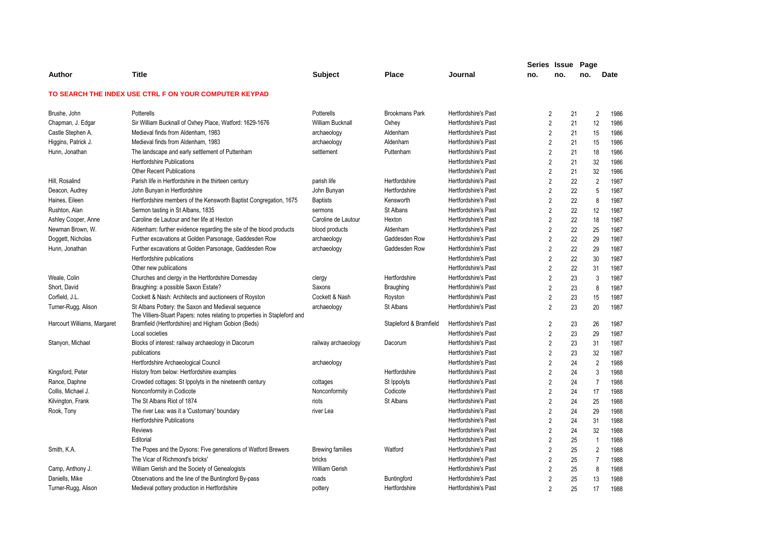|                             |                                                                            |                         |                        |                             |                | Series Issue Page |                |             |
|-----------------------------|----------------------------------------------------------------------------|-------------------------|------------------------|-----------------------------|----------------|-------------------|----------------|-------------|
| Author                      | Title                                                                      | Subject                 | <b>Place</b>           | Journal                     | no.            | no.               | no.            | <b>Date</b> |
|                             | TO SEARCH THE INDEX USE CTRL F ON YOUR COMPUTER KEYPAD                     |                         |                        |                             |                |                   |                |             |
| Brushe, John                | Potterells                                                                 | Potterells              | <b>Brookmans Park</b>  | <b>Hertfordshire's Past</b> | 2              | 21                | $\overline{2}$ | 1986        |
| Chapman, J. Edgar           | Sir William Bucknall of Oxhey Place, Watford: 1629-1676                    | <b>William Bucknall</b> | Oxhey                  | <b>Hertfordshire's Past</b> | $\overline{2}$ | 21                | 12             | 1986        |
| Castle Stephen A.           | Medieval finds from Aldenham, 1983                                         | archaeology             | Aldenham               | <b>Hertfordshire's Past</b> | $\overline{2}$ | 21                | 15             | 1986        |
| Higgins, Patrick J.         | Medieval finds from Aldenham, 1983                                         | archaeology             | Aldenham               | Hertfordshire's Past        | 2              | 21                | 15             | 1986        |
| Hunn, Jonathan              | The landscape and early settlement of Puttenham                            | settlement              | Puttenham              | Hertfordshire's Past        | $\overline{2}$ | 21                | 18             | 1986        |
|                             | <b>Hertfordshire Publications</b>                                          |                         |                        | <b>Hertfordshire's Past</b> | $\overline{2}$ | 21                | 32             | 1986        |
|                             | <b>Other Recent Publications</b>                                           |                         |                        | <b>Hertfordshire's Past</b> | 2              | 21                | 32             | 1986        |
| Hill, Rosalind              | Parish life in Hertfordshire in the thirteen century                       | parish life             | Hertfordshire          | <b>Hertfordshire's Past</b> | $\overline{2}$ | 22                | $\overline{2}$ | 1987        |
| Deacon, Audrey              | John Bunyan in Hertfordshire                                               | John Bunyan             | Hertfordshire          | <b>Hertfordshire's Past</b> | $\overline{2}$ | 22                | 5              | 1987        |
| Haines, Eileen              | Hertfordshire members of the Kensworth Baptist Congregation, 1675          | <b>Baptists</b>         | Kensworth              | <b>Hertfordshire's Past</b> | 2              | 22                | 8              | 1987        |
| Rushton, Alan               | Sermon tasting in St Albans, 1835                                          | sermons                 | St Albans              | Hertfordshire's Past        | $\overline{2}$ | 22                | 12             | 1987        |
| Ashley Cooper, Anne         | Caroline de Lautour and her life at Hexton                                 | Caroline de Lautour     | Hexton                 | Hertfordshire's Past        | $\overline{2}$ | 22                | 18             | 1987        |
| Newman Brown, W.            | Aldenham: further evidence regarding the site of the blood products        | blood products          | Aldenham               | <b>Hertfordshire's Past</b> | 2              | 22                | 25             | 1987        |
| Doggett, Nicholas           | Further excavations at Golden Parsonage, Gaddesden Row                     | archaeology             | Gaddesden Row          | <b>Hertfordshire's Past</b> | $\overline{2}$ | 22                | 29             | 1987        |
| Hunn, Jonathan              | Further excavations at Golden Parsonage, Gaddesden Row                     | archaeology             | Gaddesden Row          | Hertfordshire's Past        | $\overline{2}$ | 22                | 29             | 1987        |
|                             | Hertfordshire publications                                                 |                         |                        | <b>Hertfordshire's Past</b> | $\overline{2}$ | 22                | 30             | 1987        |
|                             | Other new publications                                                     |                         |                        | <b>Hertfordshire's Past</b> | $\overline{2}$ | 22                | 31             | 1987        |
| Weale, Colin                | Churches and clergy in the Hertfordshire Domesday                          | clergy                  | Hertfordshire          | Hertfordshire's Past        | $\overline{2}$ | 23                | 3              | 1987        |
| Short, David                | Braughing: a possible Saxon Estate?                                        | Saxons                  | Braughing              | <b>Hertfordshire's Past</b> | $\overline{2}$ | 23                | 8              | 1987        |
| Corfield, J.L.              | Cockett & Nash: Architects and auctioneers of Royston                      | Cockett & Nash          | Royston                | Hertfordshire's Past        | $\overline{2}$ | 23                | 15             | 1987        |
| Turner-Rugg, Alison         | St Albans Pottery: the Saxon and Medieval sequence                         | archaeology             | St Albans              | <b>Hertfordshire's Past</b> | $\overline{2}$ | 23                | 20             | 1987        |
|                             | The Villiers-Stuart Papers: notes relating to properties in Stapleford and |                         |                        |                             |                |                   |                |             |
| Harcourt Williams, Margaret | Bramfield (Hertfordshire) and Higham Gobion (Beds)                         |                         | Stapleford & Bramfield | Hertfordshire's Past        | $\overline{2}$ | 23                | 26             | 1987        |
|                             | Local societies                                                            |                         |                        | <b>Hertfordshire's Past</b> | $\overline{2}$ | 23                | 29             | 1987        |
| Stanyon, Michael            | Blocks of interest: railway archaeology in Dacorum                         | railway archaeology     | Dacorum                | <b>Hertfordshire's Past</b> | $\overline{2}$ | 23                | 31             | 1987        |
|                             | publications                                                               |                         |                        | Hertfordshire's Past        | $\overline{2}$ | 23                | 32             | 1987        |
|                             | Hertfordshire Archaeological Council                                       | archaeology             |                        | <b>Hertfordshire's Past</b> | 2              | 24                | $\overline{2}$ | 1988        |
| Kingsford, Peter            | History from below: Hertfordshire examples                                 |                         | Hertfordshire          | <b>Hertfordshire's Past</b> | $\overline{2}$ | 24                | 3              | 1988        |
| Rance, Daphne               | Crowded cottages: St Ippolyts in the nineteenth century                    | cottages                | St Ippolyts            | <b>Hertfordshire's Past</b> | $\overline{2}$ | 24                | $\overline{7}$ | 1988        |
| Collis, Michael J.          | Nonconformity in Codicote                                                  | Nonconformity           | Codicote               | <b>Hertfordshire's Past</b> | $\overline{2}$ | 24                | 17             | 1988        |
| Kilvington, Frank           | The St Albans Riot of 1874                                                 | riots                   | St Albans              | <b>Hertfordshire's Past</b> | $\overline{2}$ | 24                | 25             | 1988        |
| Rook, Tony                  | The river Lea: was it a 'Customary' boundary                               | river Lea               |                        | <b>Hertfordshire's Past</b> | $\overline{2}$ | 24                | 29             | 1988        |
|                             | <b>Hertfordshire Publications</b>                                          |                         |                        | <b>Hertfordshire's Past</b> | $\overline{2}$ | 24                | 31             | 1988        |
|                             | <b>Reviews</b>                                                             |                         |                        | Hertfordshire's Past        | $\overline{2}$ | 24                | 32             | 1988        |
|                             | Editorial                                                                  |                         |                        | <b>Hertfordshire's Past</b> | $\overline{2}$ | 25                | $\overline{1}$ | 1988        |
| Smith, K.A.                 | The Popes and the Dysons: Five generations of Watford Brewers              | <b>Brewing families</b> | Watford                | <b>Hertfordshire's Past</b> | $\overline{2}$ | 25                | 2              | 1988        |
|                             | The Vicar of Richmond's bricks'                                            | bricks                  |                        | Hertfordshire's Past        | $\overline{2}$ | 25                | $\overline{7}$ | 1988        |
| Camp, Anthony J.            | William Gerish and the Society of Genealogists                             | <b>William Gerish</b>   |                        | <b>Hertfordshire's Past</b> | $\overline{2}$ | 25                | 8              | 1988        |
| Daniells, Mike              | Observations and the line of the Buntingford By-pass                       | roads                   | Buntingford            | <b>Hertfordshire's Past</b> | $\overline{2}$ | 25                | 13             | 1988        |
| Turner-Rugg, Alison         | Medieval pottery production in Hertfordshire                               | pottery                 | Hertfordshire          | Hertfordshire's Past        | 2              | 25                | 17             | 1988        |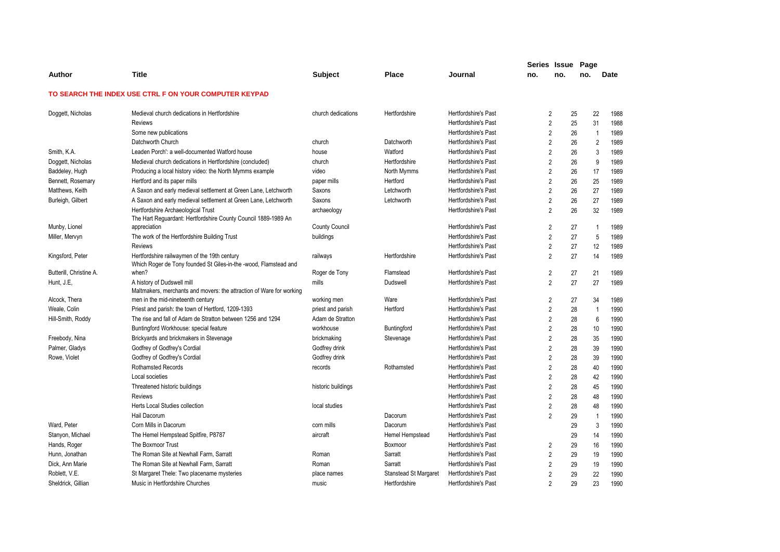|                         |                                                                                                                  |                       |                              |                             | Series Issue Page |     |                |      |
|-------------------------|------------------------------------------------------------------------------------------------------------------|-----------------------|------------------------------|-----------------------------|-------------------|-----|----------------|------|
| Author                  | <b>Title</b>                                                                                                     | <b>Subject</b>        | <b>Place</b>                 | Journal                     | no.               | no. | no.            | Date |
|                         | TO SEARCH THE INDEX USE CTRL F ON YOUR COMPUTER KEYPAD                                                           |                       |                              |                             |                   |     |                |      |
| Doggett, Nicholas       | Medieval church dedications in Hertfordshire                                                                     | church dedications    | Hertfordshire                | Hertfordshire's Past        | 2                 | 25  | 22             | 1988 |
|                         | <b>Reviews</b>                                                                                                   |                       |                              | Hertfordshire's Past        | $\overline{2}$    | 25  | 31             | 1988 |
|                         | Some new publications                                                                                            |                       |                              | Hertfordshire's Past        | $\overline{2}$    | 26  | $\overline{1}$ | 1989 |
|                         | Datchworth Church                                                                                                | church                | Datchworth                   | <b>Hertfordshire's Past</b> | $\overline{2}$    | 26  | $\overline{2}$ | 1989 |
| Smith, K.A.             | Leaden Porch': a well-documented Watford house                                                                   | house                 | Watford                      | Hertfordshire's Past        | $\overline{2}$    | 26  | 3              | 1989 |
| Doggett, Nicholas       | Medieval church dedications in Hertfordshire (concluded)                                                         | church                | Hertfordshire                | <b>Hertfordshire's Past</b> | $\overline{2}$    | 26  | 9              | 1989 |
| Baddeley, Hugh          | Producing a local history video: the North Mymms example                                                         | video                 | North Mymms                  | Hertfordshire's Past        | $\overline{2}$    | 26  | 17             | 1989 |
| Bennett, Rosemary       | Hertford and its paper mills                                                                                     | paper mills           | Hertford                     | <b>Hertfordshire's Past</b> | $\overline{2}$    | 26  | 25             | 1989 |
| Matthews, Keith         | A Saxon and early medieval settlement at Green Lane, Letchworth                                                  | Saxons                | Letchworth                   | Hertfordshire's Past        | $\overline{2}$    | 26  | 27             | 1989 |
| Burleigh, Gilbert       | A Saxon and early medieval settlement at Green Lane, Letchworth                                                  | Saxons                | Letchworth                   | <b>Hertfordshire's Past</b> | $\overline{2}$    | 26  | 27             | 1989 |
|                         | Hertfordshire Archaeological Trust<br>The Hart Reguardant: Hertfordshire County Council 1889-1989 An             | archaeology           |                              | Hertfordshire's Past        | $\overline{2}$    | 26  | 32             | 1989 |
| Munby, Lionel           | appreciation                                                                                                     | <b>County Council</b> |                              | Hertfordshire's Past        | $\overline{2}$    | 27  | $\mathbf{1}$   | 1989 |
| Miller, Mervyn          | The work of the Hertfordshire Building Trust                                                                     | buildings             |                              | Hertfordshire's Past        | $\overline{2}$    | 27  | 5              | 1989 |
|                         | <b>Reviews</b>                                                                                                   |                       |                              | <b>Hertfordshire's Past</b> | $\overline{2}$    | 27  | 12             | 1989 |
| Kingsford, Peter        | Hertfordshire railwaymen of the 19th century<br>Which Roger de Tony founded St Giles-in-the -wood, Flamstead and | railways              | Hertfordshire                | Hertfordshire's Past        | $\overline{2}$    | 27  | 14             | 1989 |
| Butterill, Christine A. | when?                                                                                                            | Roger de Tony         | Flamstead                    | <b>Hertfordshire's Past</b> | $\overline{2}$    | 27  | 21             | 1989 |
| Hunt, J.E,              | A history of Dudswell mill<br>Maltmakers, merchants and movers: the attraction of Ware for working               | mills                 | Dudswell                     | Hertfordshire's Past        | $\overline{2}$    | 27  | 27             | 1989 |
| Alcock, Thera           | men in the mid-nineteenth century                                                                                | working men           | Ware                         | <b>Hertfordshire's Past</b> | $\overline{2}$    | 27  | 34             | 1989 |
| Weale, Colin            | Priest and parish: the town of Hertford, 1209-1393                                                               | priest and parish     | Hertford                     | Hertfordshire's Past        | $\overline{2}$    | 28  | $\mathbf{1}$   | 1990 |
| Hill-Smith, Roddy       | The rise and fall of Adam de Stratton between 1256 and 1294                                                      | Adam de Stratton      |                              | Hertfordshire's Past        | $\overline{2}$    | 28  | 6              | 1990 |
|                         | Buntingford Workhouse: special feature                                                                           | workhouse             | Buntingford                  | Hertfordshire's Past        | $\overline{2}$    | 28  | 10             | 1990 |
| Freebody, Nina          | Brickyards and brickmakers in Stevenage                                                                          | brickmaking           | Stevenage                    | Hertfordshire's Past        | $\overline{2}$    | 28  | 35             | 1990 |
| Palmer, Gladys          | Godfrey of Godfrey's Cordial                                                                                     | Godfrey drink         |                              | Hertfordshire's Past        | $\overline{2}$    | 28  | 39             | 1990 |
| Rowe, Violet            | Godfrey of Godfrey's Cordial                                                                                     | Godfrey drink         |                              | Hertfordshire's Past        | $\overline{2}$    | 28  | 39             | 1990 |
|                         | Rothamsted Records                                                                                               | records               | Rothamsted                   | <b>Hertfordshire's Past</b> | $\overline{2}$    | 28  | 40             | 1990 |
|                         | Local societies                                                                                                  |                       |                              | <b>Hertfordshire's Past</b> | $\overline{2}$    | 28  | 42             | 1990 |
|                         | Threatened historic buildings                                                                                    | historic buildings    |                              | Hertfordshire's Past        | $\overline{2}$    | 28  | 45             | 1990 |
|                         | <b>Reviews</b>                                                                                                   |                       |                              | Hertfordshire's Past        | $\overline{2}$    | 28  | 48             | 1990 |
|                         | Herts Local Studies collection                                                                                   | local studies         |                              | <b>Hertfordshire's Past</b> | $\overline{2}$    | 28  | 48             | 1990 |
|                         | Hail Dacorum                                                                                                     |                       | Dacorum                      | Hertfordshire's Past        | $\overline{2}$    | 29  | $\mathbf{1}$   | 1990 |
| Ward, Peter             | Corn Mills in Dacorum                                                                                            | corn mills            | Dacorum                      | Hertfordshire's Past        |                   | 29  | 3              | 1990 |
| Stanyon, Michael        | The Hemel Hempstead Spitfire, P8787                                                                              | aircraft              | Hemel Hempstead              | Hertfordshire's Past        |                   | 29  | 14             | 1990 |
| Hands, Roger            | The Boxmoor Trust                                                                                                |                       | Boxmoor                      | <b>Hertfordshire's Past</b> | $\overline{2}$    | 29  | 16             | 1990 |
| Hunn, Jonathan          | The Roman Site at Newhall Farm, Sarratt                                                                          | Roman                 | Sarratt                      | <b>Hertfordshire's Past</b> | $\overline{2}$    | 29  | 19             | 1990 |
| Dick, Ann Marie         | The Roman Site at Newhall Farm, Sarratt                                                                          | Roman                 | Sarratt                      | Hertfordshire's Past        | $\overline{2}$    | 29  | 19             | 1990 |
| Roblett, V.E.           | St Margaret Thele: Two placename mysteries                                                                       | place names           | <b>Stanstead St Margaret</b> | Hertfordshire's Past        | $\overline{2}$    | 29  | 22             | 1990 |
| Sheldrick, Gillian      | Music in Hertfordshire Churches                                                                                  | music                 | Hertfordshire                | <b>Hertfordshire's Past</b> | $\overline{2}$    | 29  | 23             | 1990 |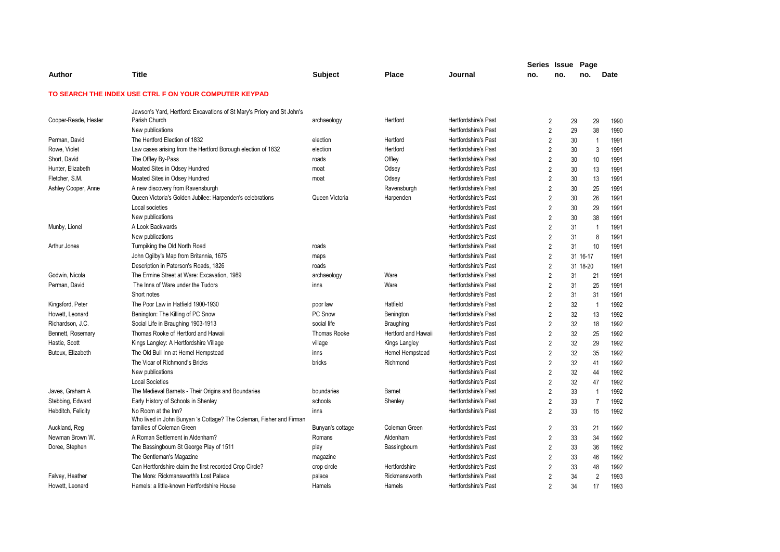|                      |                                                                                            |                  |                     |                             | Series Issue Page |                |          |                |      |
|----------------------|--------------------------------------------------------------------------------------------|------------------|---------------------|-----------------------------|-------------------|----------------|----------|----------------|------|
| Author               | <b>Title</b>                                                                               | <b>Subject</b>   | <b>Place</b>        | Journal                     | no.               | no.            | no.      |                | Date |
|                      | TO SEARCH THE INDEX USE CTRL F ON YOUR COMPUTER KEYPAD                                     |                  |                     |                             |                   |                |          |                |      |
|                      | Jewson's Yard, Hertford: Excavations of St Mary's Priory and St John's                     |                  |                     |                             |                   |                |          |                |      |
| Cooper-Reade, Hester | Parish Church                                                                              | archaeology      | Hertford            | <b>Hertfordshire's Past</b> |                   | 2              | 29       | 29             | 1990 |
|                      | New publications                                                                           |                  |                     | Hertfordshire's Past        |                   | $\overline{2}$ | 29       | 38             | 1990 |
| Perman, David        | The Hertford Election of 1832                                                              | election         | Hertford            | <b>Hertfordshire's Past</b> |                   | $\overline{2}$ | 30       | $\overline{1}$ | 1991 |
| Rowe, Violet         | Law cases arising from the Hertford Borough election of 1832                               | election         | Hertford            | <b>Hertfordshire's Past</b> |                   | $\overline{2}$ | 30       | 3              | 1991 |
| Short, David         | The Offley By-Pass                                                                         | roads            | Offley              | <b>Hertfordshire's Past</b> |                   | $\overline{2}$ | 30       | 10             | 1991 |
| Hunter, Elizabeth    | Moated Sites in Odsey Hundred                                                              | moat             | Odsey               | <b>Hertfordshire's Past</b> |                   | $\overline{2}$ | 30       | 13             | 1991 |
| Fletcher, S.M.       | Moated Sites in Odsey Hundred                                                              | moat             | Odsey               | Hertfordshire's Past        |                   | $\overline{2}$ | 30       | 13             | 1991 |
| Ashley Cooper, Anne  | A new discovery from Ravensburgh                                                           |                  | Ravensburgh         | <b>Hertfordshire's Past</b> |                   | $\overline{2}$ | 30       | 25             | 1991 |
|                      | Queen Victoria's Golden Jubilee: Harpenden's celebrations                                  | Queen Victoria   | Harpenden           | <b>Hertfordshire's Past</b> |                   | $\overline{2}$ | 30       | 26             | 1991 |
|                      | Local societies                                                                            |                  |                     | <b>Hertfordshire's Past</b> |                   | $\overline{2}$ | 30       | 29             | 1991 |
|                      | New publications                                                                           |                  |                     | Hertfordshire's Past        |                   | $\overline{2}$ | 30       | 38             | 1991 |
| Munby, Lionel        | A Look Backwards                                                                           |                  |                     | Hertfordshire's Past        |                   | $\overline{2}$ | 31       | $\overline{1}$ | 1991 |
|                      | New publications                                                                           |                  |                     | Hertfordshire's Past        |                   | $\overline{2}$ | 31       | 8              | 1991 |
| Arthur Jones         | Turnpiking the Old North Road                                                              | roads            |                     | <b>Hertfordshire's Past</b> |                   | $\overline{2}$ | 31       | 10             | 1991 |
|                      | John Ogilby's Map from Britannia, 1675                                                     | maps             |                     | <b>Hertfordshire's Past</b> |                   | $\overline{2}$ | 31 16-17 |                | 1991 |
|                      | Description in Paterson's Roads, 1826                                                      | roads            |                     | <b>Hertfordshire's Past</b> |                   | $\overline{2}$ | 31 18-20 |                | 1991 |
| Godwin, Nicola       | The Ermine Street at Ware: Excavation, 1989                                                | archaeology      | Ware                | <b>Hertfordshire's Past</b> | $\overline{2}$    |                | 31       | 21             | 1991 |
| Perman, David        | The Inns of Ware under the Tudors                                                          | inns             | Ware                | <b>Hertfordshire's Past</b> |                   | $\overline{2}$ | 31       | 25             | 1991 |
|                      | Short notes                                                                                |                  |                     | <b>Hertfordshire's Past</b> |                   | $\overline{2}$ | 31       | 31             | 1991 |
| Kingsford, Peter     | The Poor Law in Hatfield 1900-1930                                                         | poor law         | Hatfield            | Hertfordshire's Past        |                   | $\overline{2}$ | 32       | $\overline{1}$ | 1992 |
| Howett, Leonard      | Benington: The Killing of PC Snow                                                          | PC Snow          | Benington           | <b>Hertfordshire's Past</b> |                   | $\overline{2}$ | 32       | 13             | 1992 |
| Richardson, J.C.     | Social Life in Braughing 1903-1913                                                         | social life      | <b>Braughing</b>    | Hertfordshire's Past        |                   | $\overline{2}$ | 32       | 18             | 1992 |
| Bennett, Rosemary    | Thomas Rooke of Hertford and Hawaii                                                        | Thomas Rooke     | Hertford and Hawaii | Hertfordshire's Past        |                   | $\overline{2}$ | 32       | 25             | 1992 |
| Hastie, Scott        | Kings Langley: A Hertfordshire Village                                                     | village          | Kings Langley       | <b>Hertfordshire's Past</b> |                   | $\overline{2}$ | 32       | 29             | 1992 |
| Buteux, Elizabeth    | The Old Bull Inn at Hemel Hempstead                                                        | inns             | Hemel Hempstead     | <b>Hertfordshire's Past</b> |                   | $\overline{2}$ | 32       | 35             | 1992 |
|                      | The Vicar of Richmond's Bricks                                                             | bricks           | Richmond            | <b>Hertfordshire's Past</b> |                   | $\overline{2}$ | 32       | 41             | 1992 |
|                      | New publications                                                                           |                  |                     | Hertfordshire's Past        |                   | $\overline{2}$ | 32       | 44             | 1992 |
|                      | <b>Local Societies</b>                                                                     |                  |                     | Hertfordshire's Past        |                   | $\overline{2}$ | 32       | 47             | 1992 |
| Javes, Graham A      | The Medieval Barnets - Their Origins and Boundaries                                        | boundaries       | Barnet              | <b>Hertfordshire's Past</b> |                   | $\overline{2}$ | 33       | $\overline{1}$ | 1992 |
| Stebbing, Edward     | Early History of Schools in Shenley                                                        | schools          | Shenley             | <b>Hertfordshire's Past</b> |                   | $\overline{2}$ | 33       | $\overline{7}$ | 1992 |
| Hebditch, Felicity   | No Room at the Inn?<br>Who lived in John Bunyan 's Cottage? The Coleman, Fisher and Firman | inns             |                     | <b>Hertfordshire's Past</b> |                   | $\overline{2}$ | 33       | 15             | 1992 |
| Auckland, Reg        | families of Coleman Green                                                                  | Bunyan's cottage | Coleman Green       | Hertfordshire's Past        |                   | $\overline{c}$ | 33       | 21             | 1992 |
| Newman Brown W.      | A Roman Settlement in Aldenham?                                                            | Romans           | Aldenham            | <b>Hertfordshire's Past</b> |                   | $\overline{2}$ | 33       | 34             | 1992 |
| Doree, Stephen       | The Bassingbourn St George Play of 1511                                                    | play             | Bassingbourn        | <b>Hertfordshire's Past</b> |                   | $\overline{2}$ | 33       | 36             | 1992 |
|                      | The Gentleman's Magazine                                                                   | magazine         |                     | <b>Hertfordshire's Past</b> |                   | $\overline{2}$ | 33       | 46             | 1992 |
|                      | Can Hertfordshire claim the first recorded Crop Circle?                                    | crop circle      | Hertfordshire       | Hertfordshire's Past        |                   | $\overline{2}$ | 33       | 48             | 1992 |
| Falvey, Heather      | The More: Rickmansworth's Lost Palace                                                      | palace           | Rickmansworth       | Hertfordshire's Past        |                   | $\overline{2}$ | 34       | $\overline{2}$ | 1993 |
| Howett, Leonard      | Hamels: a little-known Hertfordshire House                                                 | Hamels           | Hamels              | <b>Hertfordshire's Past</b> |                   | $\mathfrak{p}$ | 34       | 17             | 1993 |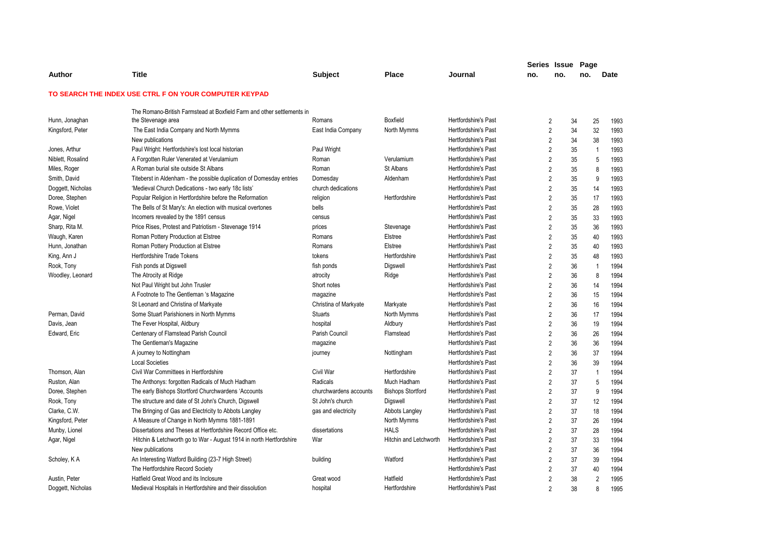|                   |                                                                        |                        |                               |                             | Series Issue   |     | Page     |                        |
|-------------------|------------------------------------------------------------------------|------------------------|-------------------------------|-----------------------------|----------------|-----|----------|------------------------|
| Author            | Title                                                                  | <b>Subject</b>         | Place                         | Journal                     | no.            | no. | no.      | <b>Date</b>            |
|                   | TO SEARCH THE INDEX USE CTRL F ON YOUR COMPUTER KEYPAD                 |                        |                               |                             |                |     |          |                        |
|                   | The Romano-British Farmstead at Boxfield Farm and other settlements in |                        |                               |                             |                |     |          |                        |
| Hunn, Jonaghan    | the Stevenage area                                                     | Romans                 | <b>Boxfield</b>               | <b>Hertfordshire's Past</b> | 2              |     | 34       | 25<br>1993             |
| Kingsford, Peter  | The East India Company and North Mymms                                 | East India Company     | North Mymms                   | <b>Hertfordshire's Past</b> | $\overline{2}$ |     | 34       | 32<br>1993             |
|                   | New publications                                                       |                        |                               | <b>Hertfordshire's Past</b> | $\overline{2}$ |     | 34       | 38<br>1993             |
| Jones, Arthur     | Paul Wright: Hertfordshire's lost local historian                      | Paul Wright            |                               | Hertfordshire's Past        | $\overline{2}$ |     | 35       | 1993<br>$\overline{1}$ |
| Niblett, Rosalind | A Forgotten Ruler Venerated at Verulamium                              | Roman                  | Verulamium                    | Hertfordshire's Past        | $\overline{2}$ |     | 35       | 5<br>1993              |
| Miles, Roger      | A Roman burial site outside St Albans                                  | Roman                  | St Albans                     | <b>Hertfordshire's Past</b> | $\overline{2}$ |     | 35       | 8<br>1993              |
| Smith, David      | Titeberst in Aldenham - the possible duplication of Domesday entries   | Domesday               | Aldenham                      | Hertfordshire's Past        | $\overline{2}$ |     | 35       | 9<br>1993              |
| Doggett, Nicholas | 'Medieval Church Dedications - two early 18c lists'                    | church dedications     |                               | Hertfordshire's Past        | $\overline{2}$ |     | 35<br>14 | 1993                   |
| Doree, Stephen    | Popular Religion in Hertfordshire before the Reformation               | religion               | Hertfordshire                 | <b>Hertfordshire's Past</b> | $\overline{2}$ |     | 35       | 17<br>1993             |
| Rowe, Violet      | The Bells of St Mary's: An election with musical overtones             | bells                  |                               | <b>Hertfordshire's Past</b> | $\overline{2}$ |     | 35       | 1993<br>28             |
| Agar, Nigel       | Incomers revealed by the 1891 census                                   | census                 |                               | Hertfordshire's Past        | $\overline{2}$ |     | 35       | 1993<br>33             |
| Sharp, Rita M.    | Price Rises, Protest and Patriotism - Stevenage 1914                   | prices                 | Stevenage                     | Hertfordshire's Past        | $\overline{2}$ |     | 35       | 36<br>1993             |
| Waugh, Karen      | Roman Pottery Production at Elstree                                    | Romans                 | Elstree                       | <b>Hertfordshire's Past</b> | $\overline{2}$ |     | 35<br>40 | 1993                   |
| Hunn, Jonathan    | Roman Pottery Production at Elstree                                    | Romans                 | Elstree                       | Hertfordshire's Past        | $\overline{2}$ |     | 35<br>40 | 1993                   |
| King, Ann J       | Hertfordshire Trade Tokens                                             | tokens                 | Hertfordshire                 | Hertfordshire's Past        | $\overline{2}$ |     | 35       | 1993<br>48             |
| Rook, Tony        | Fish ponds at Digswell                                                 | fish ponds             | Digswell                      | Hertfordshire's Past        | $\overline{2}$ |     | 36       | 1994<br>$\mathbf{1}$   |
| Woodley, Leonard  | The Atrocity at Ridge                                                  | atrocity               | Ridge                         | Hertfordshire's Past        | $\overline{2}$ |     | 36       | 8<br>1994              |
|                   | Not Paul Wright but John Trusler                                       | Short notes            |                               | Hertfordshire's Past        | $\overline{2}$ |     | 36       | 1994<br>14             |
|                   | A Footnote to The Gentleman 's Magazine                                | magazine               |                               | Hertfordshire's Past        | $\overline{2}$ |     | 36       | 15<br>1994             |
|                   | St Leonard and Christina of Markyate                                   | Christina of Markyate  | Markyate                      | Hertfordshire's Past        | $\overline{2}$ |     | 36       | 16<br>1994             |
| Perman, David     | Some Stuart Parishioners in North Mymms                                | <b>Stuarts</b>         | North Mymms                   | Hertfordshire's Past        | $\overline{2}$ |     | 36       | 1994<br>17             |
| Davis, Jean       | The Fever Hospital, Aldbury                                            | hospital               | Aldbury                       | Hertfordshire's Past        | $\overline{2}$ |     | 36       | 1994<br>19             |
| Edward, Eric      | Centenary of Flamstead Parish Council                                  | Parish Council         | Flamstead                     | Hertfordshire's Past        | $\overline{2}$ |     | 36       | 26<br>1994             |
|                   | The Gentleman's Magazine                                               | magazine               |                               | Hertfordshire's Past        | $\overline{2}$ |     | 36       | 36<br>1994             |
|                   | A journey to Nottingham                                                | journey                | Nottingham                    | Hertfordshire's Past        | $\overline{2}$ |     | 36<br>37 | 1994                   |
|                   | <b>Local Societies</b>                                                 |                        |                               | Hertfordshire's Past        | $\overline{2}$ |     | 36       | 1994<br>39             |
| Thomson, Alan     | Civil War Committees in Hertfordshire                                  | Civil War              | Hertfordshire                 | Hertfordshire's Past        | $\overline{2}$ |     | 37       | 1994<br>$\overline{1}$ |
| Ruston, Alan      | The Anthonys: forgotten Radicals of Much Hadham                        | Radicals               | Much Hadham                   | Hertfordshire's Past        | $\overline{2}$ |     | 37       | 5<br>1994              |
| Doree, Stephen    | The early Bishops Stortford Churchwardens 'Accounts                    | churchwardens accounts | <b>Bishops Stortford</b>      | Hertfordshire's Past        | $\overline{2}$ |     | 37       | 9<br>1994              |
| Rook, Tony        | The structure and date of St John's Church, Digswell                   | St John's church       | Digswell                      | Hertfordshire's Past        | $\overline{2}$ |     | 37       | 1994<br>12             |
| Clarke, C.W.      | The Bringing of Gas and Electricity to Abbots Langley                  | gas and electricity    | Abbots Langley                | Hertfordshire's Past        | $\overline{2}$ |     | 37       | 1994<br>18             |
| Kingsford, Peter  | A Measure of Change in North Mymms 1881-1891                           |                        | North Mymms                   | Hertfordshire's Past        | $\overline{2}$ |     | 37<br>26 | 1994                   |
| Munby, Lionel     | Dissertations and Theses at Hertfordshire Record Office etc.           | dissertations          | <b>HALS</b>                   | <b>Hertfordshire's Past</b> | $\overline{2}$ |     | 37       | 1994<br>28             |
| Agar, Nigel       | Hitchin & Letchworth go to War - August 1914 in north Hertfordshire    | War                    | <b>Hitchin and Letchworth</b> | <b>Hertfordshire's Past</b> | $\overline{2}$ |     | 37       | 1994<br>33             |
|                   | New publications                                                       |                        |                               | <b>Hertfordshire's Past</b> | 2              |     | 37<br>36 | 1994                   |
| Scholey, KA       | An Interesting Watford Building (23-7 High Street)                     | building               | Watford                       | <b>Hertfordshire's Past</b> | $\overline{2}$ |     | 37       | 39<br>1994             |
|                   | The Hertfordshire Record Society                                       |                        |                               | <b>Hertfordshire's Past</b> | $\overline{2}$ |     | 37<br>40 | 1994                   |
| Austin, Peter     | Hatfield Great Wood and its Inclosure                                  | Great wood             | Hatfield                      | Hertfordshire's Past        | $\overline{2}$ |     | 38       | $\overline{2}$<br>1995 |
| Doggett, Nicholas | Medieval Hospitals in Hertfordshire and their dissolution              | hospital               | Hertfordshire                 | <b>Hertfordshire's Past</b> | $\overline{2}$ |     | 38       | 1995<br>8              |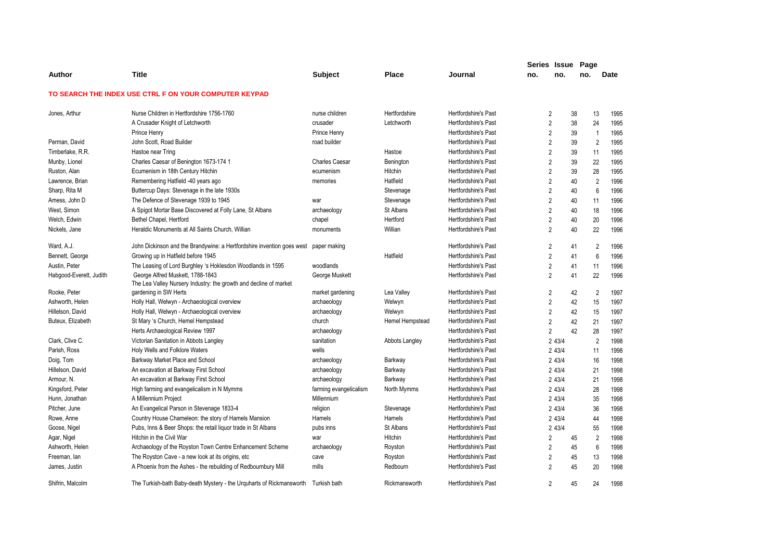|                         |                                                                                                       |                        |                 |                             | Series Issue Page |           |    |                |      |
|-------------------------|-------------------------------------------------------------------------------------------------------|------------------------|-----------------|-----------------------------|-------------------|-----------|----|----------------|------|
| Author                  | <b>Title</b>                                                                                          | <b>Subject</b>         | <b>Place</b>    | Journal                     | no.               | no.       |    | no.            | Date |
|                         | TO SEARCH THE INDEX USE CTRL F ON YOUR COMPUTER KEYPAD                                                |                        |                 |                             |                   |           |    |                |      |
| Jones, Arthur           | Nurse Children in Hertfordshire 1756-1760                                                             | nurse children         | Hertfordshire   | Hertfordshire's Past        | 2                 |           | 38 | 13             | 1995 |
|                         | A Crusader Knight of Letchworth                                                                       | crusader               | Letchworth      | Hertfordshire's Past        | $\overline{2}$    |           | 38 | 24             | 1995 |
|                         | Prince Henry                                                                                          | Prince Henry           |                 | Hertfordshire's Past        | $\overline{2}$    |           | 39 | $\overline{1}$ | 1995 |
| Perman, David           | John Scott, Road Builder                                                                              | road builder           |                 | <b>Hertfordshire's Past</b> | $\overline{2}$    |           | 39 | $\overline{2}$ | 1995 |
| Timberlake, R.R.        | Hastoe near Tring                                                                                     |                        | Hastoe          | <b>Hertfordshire's Past</b> | $\overline{2}$    |           | 39 | 11             | 1995 |
| Munby, Lionel           | Charles Caesar of Benington 1673-174 1                                                                | <b>Charles Caesar</b>  | Benington       | Hertfordshire's Past        | $\overline{2}$    |           | 39 | 22             | 1995 |
| Ruston, Alan            | Ecumenism in 18th Century Hitchin                                                                     | ecumenism              | <b>Hitchin</b>  | Hertfordshire's Past        | $\overline{2}$    |           | 39 | 28             | 1995 |
| Lawrence, Brian         | Remembering Hatfield -40 years ago                                                                    | memories               | Hatfield        | Hertfordshire's Past        | $\overline{2}$    |           | 40 | $\overline{2}$ | 1996 |
| Sharp, Rita M           | Buttercup Days: Stevenage in the late 1930s                                                           |                        | Stevenage       | <b>Hertfordshire's Past</b> | $\overline{2}$    |           | 40 | 6              | 1996 |
| Amess, John D           | The Defence of Stevenage 1939 to 1945                                                                 | war                    | Stevenage       | Hertfordshire's Past        | $\overline{2}$    |           | 40 | 11             | 1996 |
| West, Simon             | A Spigot Mortar Base Discovered at Folly Lane, St Albans                                              | archaeology            | St Albans       | Hertfordshire's Past        | $\overline{2}$    |           | 40 | 18             | 1996 |
| Welch, Edwin            | Bethel Chapel, Hertford                                                                               | chapel                 | Hertford        | Hertfordshire's Past        | $\overline{2}$    |           | 40 | 20             | 1996 |
| Nickels, Jane           | Heraldic Monuments at All Saints Church, Willian                                                      | monuments              | Willian         | Hertfordshire's Past        | $\overline{2}$    |           | 40 | 22             | 1996 |
| Ward, A.J.              | John Dickinson and the Brandywine: a Hertfordshire invention goes west                                | paper making           |                 | <b>Hertfordshire's Past</b> | $\overline{2}$    |           | 41 | $\overline{2}$ | 1996 |
| Bennett, George         | Growing up in Hatfield before 1945                                                                    |                        | Hatfield        | <b>Hertfordshire's Past</b> | $\overline{2}$    |           | 41 | 6              | 1996 |
| Austin, Peter           | The Leasing of Lord Burghley 's Hoklesdon Woodlands in 1595                                           | woodlands              |                 | Hertfordshire's Past        | $\overline{2}$    |           | 41 | 11             | 1996 |
| Habgood-Everett, Judith | George Alfred Muskett, 1788-1843<br>The Lea Valley Nursery Industry: the growth and decline of market | George Muskett         |                 | Hertfordshire's Past        | $\overline{2}$    |           | 41 | 22             | 1996 |
| Rooke, Peter            | gardening in SW Herts                                                                                 | market gardening       | Lea Valley      | <b>Hertfordshire's Past</b> | 2                 |           | 42 | 2              | 1997 |
| Ashworth, Helen         | Holly Hall, Welwyn - Archaeological overview                                                          | archaeology            | Welwyn          | Hertfordshire's Past        | $\overline{2}$    |           | 42 | 15             | 1997 |
| Hillelson, David        | Holly Hall, Welwyn - Archaeological overview                                                          | archaeology            | Welwyn          | Hertfordshire's Past        | $\overline{2}$    |           | 42 | 15             | 1997 |
| Buteux, Elizabeth       | St Mary 's Church, Hemel Hempstead                                                                    | church                 | Hemel Hempstead | Hertfordshire's Past        | $\overline{2}$    |           | 42 | 21             | 1997 |
|                         | Herts Archaeological Review 1997                                                                      | archaeology            |                 | Hertfordshire's Past        | $\overline{2}$    |           | 42 | 28             | 1997 |
| Clark, Clive C.         | Victorian Sanitation in Abbots Langley                                                                | sanitation             | Abbots Langley  | <b>Hertfordshire's Past</b> |                   | 2 4 3 / 4 |    | $\overline{2}$ | 1998 |
| Parish, Ross            | Holy Wells and Folklore Waters                                                                        | wells                  |                 | Hertfordshire's Past        |                   | 2 43/4    |    | 11             | 1998 |
| Doig, Tom               | Barkway Market Place and School                                                                       | archaeology            | Barkway         | <b>Hertfordshire's Past</b> |                   | 2 43/4    |    | 16             | 1998 |
| Hillelson, David        | An excavation at Barkway First School                                                                 | archaeology            | Barkway         | Hertfordshire's Past        |                   | 2 4 3 / 4 |    | 21             | 1998 |
| Armour, N.              | An excavation at Barkway First School                                                                 | archaeology            | Barkway         | <b>Hertfordshire's Past</b> |                   | 2 4 3 / 4 |    | 21             | 1998 |
| Kingsford, Peter        | High farming and evangelicalism in N Mymms                                                            | farming evangelicalism | North Mymms     | Hertfordshire's Past        |                   | 2 43/4    |    | 28             | 1998 |
| Hunn, Jonathan          | A Millennium Project                                                                                  | Millennium             |                 | Hertfordshire's Past        |                   | 2 43/4    |    | 35             | 1998 |
| Pitcher, June           | An Evangelical Parson in Stevenage 1833-4                                                             | religion               | Stevenage       | Hertfordshire's Past        |                   | 2 4 3 / 4 |    | 36             | 1998 |
| Rowe, Anne              | Country House Chameleon: the story of Hamels Mansion                                                  | Hamels                 | Hamels          | Hertfordshire's Past        |                   | 2 4 3 / 4 |    | 44             | 1998 |
| Goose, Nigel            | Pubs, Inns & Beer Shops: the retail liquor trade in St Albans                                         | pubs inns              | St Albans       | Hertfordshire's Past        |                   | 2 43/4    |    | 55             | 1998 |
| Agar, Nigel             | Hitchin in the Civil War                                                                              | war                    | Hitchin         | Hertfordshire's Past        | $\overline{2}$    |           | 45 | $\overline{2}$ | 1998 |
| Ashworth, Helen         | Archaeology of the Royston Town Centre Enhancement Scheme                                             | archaeology            | Royston         | Hertfordshire's Past        | $\overline{2}$    |           | 45 | 6              | 1998 |
| Freeman, lan            | The Royston Cave - a new look at its origins, etc.                                                    | cave                   | Royston         | <b>Hertfordshire's Past</b> | $\overline{2}$    |           | 45 | 13             | 1998 |
| James, Justin           | A Phoenix from the Ashes - the rebuilding of Redbournbury Mill                                        | mills                  | Redbourn        | <b>Hertfordshire's Past</b> | $\overline{2}$    |           | 45 | 20             | 1998 |
| Shifrin, Malcolm        | The Turkish-bath Baby-death Mystery - the Urquharts of Rickmansworth                                  | Turkish bath           | Rickmansworth   | <b>Hertfordshire's Past</b> | $\overline{2}$    |           | 45 | 24             | 1998 |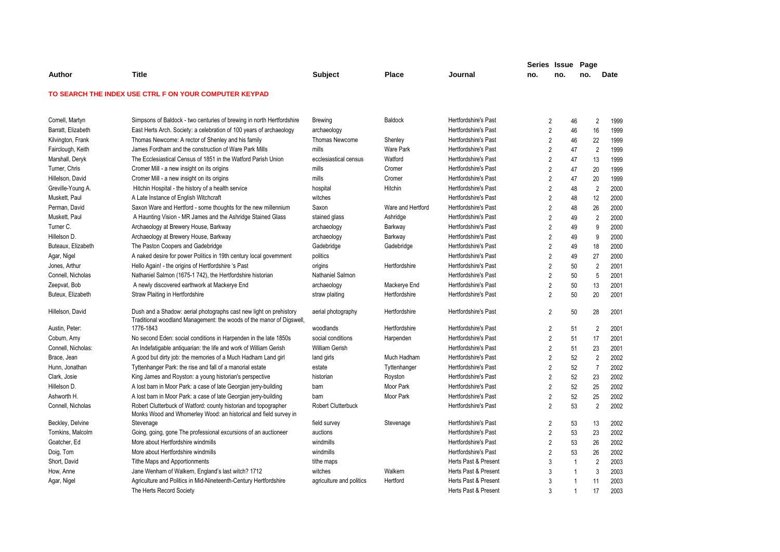|                    |                                                                                                                                     |                           |                   |                             | Series Issue |                | Page         |                |      |
|--------------------|-------------------------------------------------------------------------------------------------------------------------------------|---------------------------|-------------------|-----------------------------|--------------|----------------|--------------|----------------|------|
| Author             | <b>Title</b>                                                                                                                        | <b>Subject</b>            | Place             | Journal                     | no.          | no.            | no.          | <b>Date</b>    |      |
|                    | TO SEARCH THE INDEX USE CTRL F ON YOUR COMPUTER KEYPAD                                                                              |                           |                   |                             |              |                |              |                |      |
|                    |                                                                                                                                     |                           |                   |                             |              |                |              |                |      |
| Cornell, Martyn    | Simpsons of Baldock - two centuries of brewing in north Hertfordshire                                                               | Brewing                   | <b>Baldock</b>    | Hertfordshire's Past        |              | 2              | 46           | 2              | 1999 |
| Barratt, Elizabeth | East Herts Arch. Society: a celebration of 100 years of archaeology                                                                 | archaeology               |                   | Hertfordshire's Past        |              | $\overline{2}$ | 46           | 16             | 1999 |
| Kilvington, Frank  | Thomas Newcome: A rector of Shenley and his family                                                                                  | Thomas Newcome            | Shenley           | Hertfordshire's Past        |              | $\overline{2}$ | 46           | 22             | 1999 |
| Fairclough, Keith  | James Fordham and the construction of Ware Park Mills                                                                               | mills                     | <b>Ware Park</b>  | Hertfordshire's Past        |              | $\overline{2}$ | 47           | $\overline{2}$ | 1999 |
| Marshall, Deryk    | The Ecclesiastical Census of 1851 in the Watford Parish Union                                                                       | ecclesiastical census     | Watford           | <b>Hertfordshire's Past</b> |              | $\overline{2}$ | 47           | 13             | 1999 |
| Turner, Chris      | Cromer Mill - a new insight on its origins                                                                                          | mills                     | Cromer            | <b>Hertfordshire's Past</b> |              | $\overline{2}$ | 47           | 20             | 1999 |
| Hillelson, David   | Cromer Mill - a new insight on its origins                                                                                          | mills                     | Cromer            | <b>Hertfordshire's Past</b> |              | $\overline{2}$ | 47           | 20             | 1999 |
| Greville-Young A.  | Hitchin Hospital - the history of a health service                                                                                  | hospital                  | Hitchin           | <b>Hertfordshire's Past</b> |              | $\overline{2}$ | 48           | $\overline{2}$ | 2000 |
| Muskett, Paul      | A Late Instance of English Witchcraft                                                                                               | witches                   |                   | <b>Hertfordshire's Past</b> |              | $\overline{2}$ | 48           | 12             | 2000 |
| Perman, David      | Saxon Ware and Hertford - some thoughts for the new millennium                                                                      | Saxon                     | Ware and Hertford | <b>Hertfordshire's Past</b> |              | $\overline{2}$ | 48           | 26             | 2000 |
| Muskett, Paul      | A Haunting Vision - MR James and the Ashridge Stained Glass                                                                         | stained glass             | Ashridge          | <b>Hertfordshire's Past</b> |              | $\overline{2}$ | 49           | $\overline{2}$ | 2000 |
| Turner C.          | Archaeology at Brewery House, Barkway                                                                                               | archaeology               | Barkway           | <b>Hertfordshire's Past</b> |              | $\overline{2}$ | 49           | 9              | 2000 |
| Hillelson D.       | Archaeology at Brewery House, Barkway                                                                                               | archaeology               | Barkway           | Hertfordshire's Past        |              | $\overline{2}$ | 49           | 9              | 2000 |
| Buteaux, Elizabeth | The Paston Coopers and Gadebridge                                                                                                   | Gadebridge                | Gadebridge        | <b>Hertfordshire's Past</b> |              | $\overline{2}$ | 49           | 18             | 2000 |
| Agar, Nigel        | A naked desire for power Politics in 19th century local government                                                                  | politics                  |                   | <b>Hertfordshire's Past</b> |              | $\overline{2}$ | 49           | 27             | 2000 |
| Jones, Arthur      | Hello Again! - the origins of Hertfordshire 's Past                                                                                 | origins                   | Hertfordshire     | Hertfordshire's Past        |              | $\overline{2}$ | 50           | $\overline{2}$ | 2001 |
| Connell, Nicholas  | Nathaniel Salmon (1675-1 742), the Hertfordshire historian                                                                          | Nathaniel Salmon          |                   | <b>Hertfordshire's Past</b> |              | $\overline{2}$ | 50           | 5              | 2001 |
| Zeepvat, Bob       | A newly discovered earthwork at Mackerye End                                                                                        | archaeology               | Mackerye End      | <b>Hertfordshire's Past</b> |              | $\overline{2}$ | 50           | 13             | 2001 |
| Buteux, Elizabeth  | <b>Straw Plaiting in Hertfordshire</b>                                                                                              | straw plaiting            | Hertfordshire     | <b>Hertfordshire's Past</b> |              | $\overline{2}$ | 50           | 20             | 2001 |
| Hillelson, David   | Dush and a Shadow: aerial photographs cast new light on prehistory                                                                  | aerial photography        | Hertfordshire     | <b>Hertfordshire's Past</b> |              | 2              | 50           | 28             | 2001 |
|                    | Traditional woodland Management: the woods of the manor of Digswell,                                                                |                           |                   |                             |              |                |              |                |      |
| Austin, Peter:     | 1776-1843                                                                                                                           | woodlands                 | Hertfordshire     | <b>Hertfordshire's Past</b> |              | $\overline{2}$ | 51           | $\overline{2}$ | 2001 |
| Coburn, Amy        | No second Eden: social conditions in Harpenden in the late 1850s                                                                    | social conditions         | Harpenden         | <b>Hertfordshire's Past</b> |              | $\overline{2}$ | 51           | 17             | 2001 |
| Connell, Nicholas: | An Indefatigable antiquarian: the life and work of William Gerish                                                                   | <b>William Gerish</b>     |                   | <b>Hertfordshire's Past</b> |              | $\overline{2}$ | 51           | 23             | 2001 |
| Brace, Jean        | A good but dirty job: the memories of a Much Hadham Land girl                                                                       | land girls                | Much Hadham       | <b>Hertfordshire's Past</b> |              | $\overline{2}$ | 52           | $\overline{2}$ | 2002 |
| Hunn, Jonathan     | Tyttenhanger Park: the rise and fall of a manorial estate                                                                           | estate                    | Tyttenhanger      | <b>Hertfordshire's Past</b> |              | $\overline{2}$ | 52           | $\overline{7}$ | 2002 |
| Clark, Josie       | King James and Royston: a young historian's perspective                                                                             | historian                 | Royston           | <b>Hertfordshire's Past</b> |              | $\overline{2}$ | 52           | 23             | 2002 |
| Hillelson D.       | A lost barn in Moor Park: a case of late Georgian jerry-building                                                                    | barn                      | Moor Park         | Hertfordshire's Past        |              | $\overline{2}$ | 52           | 25             | 2002 |
| Ashworth H.        | A lost barn in Moor Park: a case of late Georgian jerry-building                                                                    | barn                      | Moor Park         | Hertfordshire's Past        |              | $\overline{2}$ | 52           | 25             | 2002 |
| Connell, Nicholas  | Robert Clutterbuck of Watford: county historian and topographer<br>Monks Wood and Whomerley Wood: an historical and field survey in | <b>Robert Clutterbuck</b> |                   | Hertfordshire's Past        |              | $\overline{2}$ | 53           | $\overline{2}$ | 2002 |
| Beckley, Delvine   | Stevenage                                                                                                                           | field survey              | Stevenage         | Hertfordshire's Past        |              | $\overline{2}$ | 53           | 13             | 2002 |
| Tomkins, Malcolm   | Going, going, gone The professional excursions of an auctioneer                                                                     | auctions                  |                   | <b>Hertfordshire's Past</b> |              | $\overline{2}$ | 53           | 23             | 2002 |
| Goatcher, Ed       | More about Hertfordshire windmills                                                                                                  | windmills                 |                   | Hertfordshire's Past        |              | $\overline{2}$ | 53           | 26             | 2002 |
| Doig, Tom          | More about Hertfordshire windmills                                                                                                  | windmills                 |                   | <b>Hertfordshire's Past</b> |              | $\overline{2}$ | 53           | 26             | 2002 |
| Short, David       | Tithe Maps and Apportionments                                                                                                       | tithe maps                |                   | Herts Past & Present        |              | 3              | $\mathbf{1}$ | $\overline{2}$ | 2003 |
| How, Anne          | Jane Wenham of Walkern, England's last witch? 1712                                                                                  | witches                   | Walkern           | Herts Past & Present        |              | 3              | $\mathbf{1}$ | 3              | 2003 |
| Agar, Nigel        | Agriculture and Politics in Mid-Nineteenth-Century Hertfordshire                                                                    | agriculture and politics  | Hertford          | Herts Past & Present        |              | 3              | $\mathbf{1}$ | 11             | 2003 |
|                    | The Herts Record Society                                                                                                            |                           |                   | Herts Past & Present        |              | 3              | $\mathbf{1}$ | 17             | 2003 |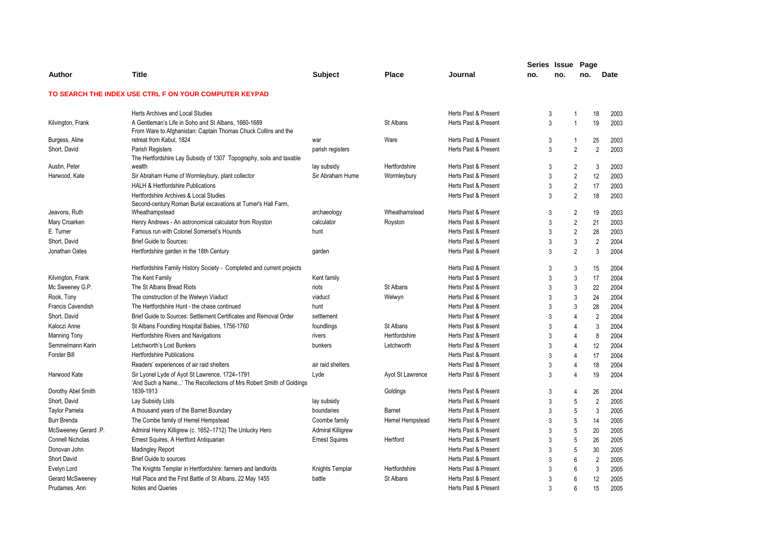|                          |                                                                                                                       |                          |                  |                      | Series Issue |                 | Page           |                        |  |
|--------------------------|-----------------------------------------------------------------------------------------------------------------------|--------------------------|------------------|----------------------|--------------|-----------------|----------------|------------------------|--|
| Author                   | <b>Title</b>                                                                                                          | <b>Subject</b>           | <b>Place</b>     | Journal              | no.          | no.             | no.            | Date                   |  |
|                          | TO SEARCH THE INDEX USE CTRL F ON YOUR COMPUTER KEYPAD                                                                |                          |                  |                      |              |                 |                |                        |  |
|                          | Herts Archives and Local Studies                                                                                      |                          |                  | Herts Past & Present | 3            | $\mathbf{1}$    |                | 18<br>2003             |  |
| Kilvington, Frank        | A Gentleman's Life in Soho and St Albans, 1660-1689<br>From Ware to Afghanistan: Captain Thomas Chuck Collins and the |                          | St Albans        | Herts Past & Present | 3            | $\mathbf{1}$    |                | 19<br>2003             |  |
| Burgess, Aline           | retreat from Kabul, 1824                                                                                              | war                      | Ware             | Herts Past & Present | 3            |                 | $\mathbf{1}$   | 25<br>2003             |  |
| Short, David             | Parish Registers<br>The Hertfordshire Lay Subsidy of 1307 Topography, soils and taxable                               | parish registers         |                  | Herts Past & Present | 3            |                 | $\overline{2}$ | $\overline{2}$<br>2003 |  |
| Austin, Peter            | wealth                                                                                                                | lay subsidy              | Hertfordshire    | Herts Past & Present | 3            |                 | $\overline{2}$ | 3<br>2003              |  |
| Harwood, Kate            | Sir Abraham Hume of Wormleybury, plant collector                                                                      | Sir Abraham Hume         | Wormleybury      | Herts Past & Present | 3            |                 | $\overline{2}$ | 12<br>2003             |  |
|                          | <b>HALH &amp; Hertfordshire Publications</b>                                                                          |                          |                  | Herts Past & Present | 3            |                 | $\overline{2}$ | 17<br>2003             |  |
|                          | Hertfordshire Archives & Local Studies<br>Second-century Roman Burial excavations at Turner's Hall Farm,              |                          |                  | Herts Past & Present | 3            |                 | 2              | 18<br>2003             |  |
| Jeavons, Ruth            | Wheathampstead                                                                                                        | archaeology              | Wheathamstead    | Herts Past & Present | 3            |                 | $\overline{2}$ | 19<br>2003             |  |
| Mary Croarken            | Henry Andrews - An astronomical calculator from Royston                                                               | calculator               | Royston          | Herts Past & Present | 3            |                 | $\overline{2}$ | 21<br>2003             |  |
| E. Turner                | Famous run with Colonel Somerset's Hounds                                                                             | hunt                     |                  | Herts Past & Present | 3            |                 | $\overline{2}$ | 28<br>2003             |  |
| Short, David             | <b>Brief Guide to Sources:</b>                                                                                        |                          |                  | Herts Past & Present | 3            |                 | $\mathbf{3}$   | 2004<br>$\overline{2}$ |  |
| Jonathan Oates           | Hertfordshire garden in the 18th Century                                                                              | garden                   |                  | Herts Past & Present | 3            |                 | $\overline{2}$ | 3<br>2004              |  |
|                          | Hertfordshire Family History Society - Completed and current projects                                                 |                          |                  | Herts Past & Present | 3            | 3               |                | 15<br>2004             |  |
| Kilvington, Frank        | The Kent Family                                                                                                       | Kent family              |                  | Herts Past & Present | 3            | 3               |                | 17<br>2004             |  |
| Mc Sweeney G.P.          | The St Albans Bread Riots                                                                                             | riots                    | St Albans        | Herts Past & Present | 3            | 3               |                | 22<br>2004             |  |
| Rook, Tony               | The construction of the Welwyn Viaduct                                                                                | viaduct                  | Welwyn           | Herts Past & Present | 3            | $\overline{3}$  |                | 24<br>2004             |  |
| <b>Francis Cavendish</b> | The Hertfordshire Hunt - the chase continued                                                                          | hunt                     |                  | Herts Past & Present | 3            | $\mathbf{3}$    |                | 28<br>2004             |  |
| Short, David             | Brief Guide to Sources: Settlement Certificates and Removal Order                                                     | settlement               |                  | Herts Past & Present | 3            | $\overline{4}$  |                | $\mathfrak{p}$<br>2004 |  |
| Kaloczi Anne             | St Albans Foundling Hospital Babies, 1756-1760                                                                        | foundlings               | St Albans        | Herts Past & Present | 3            | $\overline{4}$  |                | 3<br>2004              |  |
| <b>Manning Tony</b>      | Hertfordshire Rivers and Navigations                                                                                  | rivers                   | Hertfordshire    | Herts Past & Present | 3            | $\overline{4}$  |                | 8<br>2004              |  |
| Semmelmann Karin         | Letchworth's Lost Bunkers                                                                                             | bunkers                  | Letchworth       | Herts Past & Present | 3            | $\overline{4}$  |                | 12<br>2004             |  |
| Forster Bill             | <b>Hertfordshire Publications</b>                                                                                     |                          |                  | Herts Past & Present | 3            | $\overline{4}$  |                | 17<br>2004             |  |
|                          | Readers' experiences of air raid shelters                                                                             | air raid shelters        |                  | Herts Past & Present | 3            | $\overline{4}$  |                | 18<br>2004             |  |
| Harwood Kate             | Sir Lyonel Lyde of Ayot St Lawrence, 1724-1791<br>'And Such a Name' The Recollections of Mrs Robert Smith of Goldings | Lyde                     | Ayot St Lawrence | Herts Past & Present | 3            | $\overline{4}$  |                | 19<br>2004             |  |
| Dorothy Abel Smith       | 1839-1913                                                                                                             |                          | Goldings         | Herts Past & Present | 3            | $\overline{4}$  |                | 26<br>2004             |  |
| Short, David             | Lay Subsidy Lists                                                                                                     | lay subsidy              |                  | Herts Past & Present | 3            | 5               |                | $\overline{2}$<br>2005 |  |
| <b>Taylor Pamela</b>     | A thousand years of the Barnet Boundary                                                                               | boundaries               | Barnet           | Herts Past & Present | 3            | 5               |                | 3<br>2005              |  |
| Burr Brenda              | The Combe family of Hemel Hempstead                                                                                   | Coombe family            | Hemel Hempstead  | Herts Past & Present | 3            | 5               |                | 14<br>2005             |  |
| McSweeney Gerard .P.     | Admiral Henry Killigrew (c. 1652-1712) The Unlucky Hero                                                               | <b>Admiral Killigrew</b> |                  | Herts Past & Present | 3            | 5               |                | 20<br>2005             |  |
| <b>Connell Nicholas</b>  | Ernest Squires, A Hertford Antiquarian                                                                                | <b>Ernest Squires</b>    | Hertford         | Herts Past & Present | 3            | 5               |                | 26<br>2005             |  |
| Donovan John             | <b>Madingley Report</b>                                                                                               |                          |                  | Herts Past & Present | 3            | 5               |                | 30<br>2005             |  |
| <b>Short David</b>       | <b>Brief Guide to sources</b>                                                                                         |                          |                  | Herts Past & Present | 3            | $6\phantom{1}6$ |                | $\overline{2}$<br>2005 |  |
| Evelyn Lord              | The Knights Templar in Hertfordshire: farmers and landlords                                                           | Knights Templar          | Hertfordshire    | Herts Past & Present | 3            | $6\phantom{1}$  |                | 3<br>2005              |  |
| Gerard McSweeney         | Hall Place and the First Battle of St Albans, 22 May 1455                                                             | battle                   | St Albans        | Herts Past & Present | 3            | $6\phantom{1}6$ |                | 12<br>2005             |  |
| Prudames, Ann            | Notes and Queries                                                                                                     |                          |                  | Herts Past & Present | 3            | $6\phantom{1}$  |                | 15<br>2005             |  |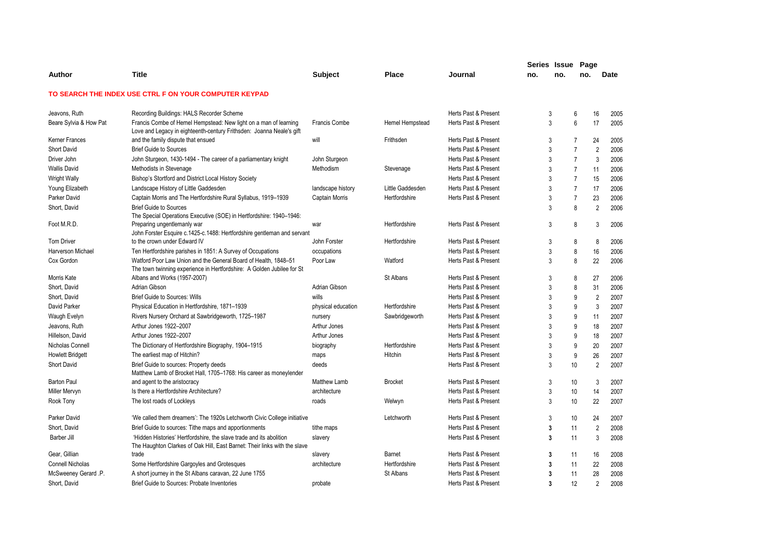|                         |                                                                                                                                                  |                      |                  |                      | Series Issue Page |     |                |                |             |
|-------------------------|--------------------------------------------------------------------------------------------------------------------------------------------------|----------------------|------------------|----------------------|-------------------|-----|----------------|----------------|-------------|
| Author                  | <b>Title</b>                                                                                                                                     | <b>Subject</b>       | <b>Place</b>     | Journal              | no.               | no. | no.            |                | <b>Date</b> |
|                         | TO SEARCH THE INDEX USE CTRL F ON YOUR COMPUTER KEYPAD                                                                                           |                      |                  |                      |                   |     |                |                |             |
| Jeavons, Ruth           | Recording Buildings: HALS Recorder Scheme                                                                                                        |                      |                  | Herts Past & Present |                   | 3   | 6              | 16             | 2005        |
| Beare Sylvia & How Pat  | Francis Combe of Hemel Hempstead: New light on a man of learning<br>Love and Legacy in eighteenth-century Frithsden: Joanna Neale's gift         | <b>Francis Combe</b> | Hemel Hempstead  | Herts Past & Present |                   | 3   | 6              | 17             | 2005        |
| Kerner Frances          | and the family dispute that ensued                                                                                                               | will                 | Frithsden        | Herts Past & Present |                   | 3   | $\overline{7}$ | 24             | 2005        |
| Short David             | <b>Brief Guide to Sources</b>                                                                                                                    |                      |                  | Herts Past & Present |                   | 3   | $\overline{7}$ | $\overline{2}$ | 2006        |
| Driver John             | John Sturgeon, 1430-1494 - The career of a parliamentary knight                                                                                  | John Sturgeon        |                  | Herts Past & Present |                   | 3   | $\overline{7}$ | 3              | 2006        |
| <b>Wallis David</b>     | Methodists in Stevenage                                                                                                                          | Methodism            | Stevenage        | Herts Past & Present | 3                 |     | $\overline{7}$ | 11             | 2006        |
| <b>Wright Wally</b>     | Bishop's Stortford and District Local History Society                                                                                            |                      |                  | Herts Past & Present |                   | 3   | $\overline{7}$ | 15             | 2006        |
| Young Elizabeth         | Landscape History of Little Gaddesden                                                                                                            | landscape history    | Little Gaddesden | Herts Past & Present |                   | 3   | $\overline{7}$ | 17             | 2006        |
| Parker David            | Captain Morris and The Hertfordshire Rural Syllabus, 1919-1939                                                                                   | Captain Morris       | Hertfordshire    | Herts Past & Present |                   | 3   | $\overline{7}$ | 23             | 2006        |
| Short, David            | <b>Brief Guide to Sources</b><br>The Special Operations Executive (SOE) in Hertfordshire: 1940–1946:                                             |                      |                  |                      |                   | 3   | 8              | $\overline{2}$ | 2006        |
| Foot M.R.D.             | Preparing ungentlemanly war<br>John Forster Esquire c.1425-c.1488: Hertfordshire gentleman and servant                                           | war                  | Hertfordshire    | Herts Past & Present |                   | 3   | 8              | 3              | 2006        |
| <b>Tom Driver</b>       | to the crown under Edward IV                                                                                                                     | John Forster         | Hertfordshire    | Herts Past & Present |                   | 3   | 8              | 8              | 2006        |
| Harverson Michael       | Ten Hertfordshire parishes in 1851: A Survey of Occupations                                                                                      | occupations          |                  | Herts Past & Present |                   | 3   | 8              | 16             | 2006        |
| Cox Gordon              | Watford Poor Law Union and the General Board of Health, 1848-51<br>The town twinning experience in Hertfordshire: A Golden Jubilee for St        | Poor Law             | Watford          | Herts Past & Present |                   | 3   | 8              | 22             | 2006        |
| Morris Kate             | Albans and Works (1957-2007)                                                                                                                     |                      | St Albans        | Herts Past & Present |                   | 3   | 8              | 27             | 2006        |
| Short, David            | Adrian Gibson                                                                                                                                    | Adrian Gibson        |                  | Herts Past & Present | 3                 |     | 8              | 31             | 2006        |
| Short, David            | <b>Brief Guide to Sources: Wills</b>                                                                                                             | wills                |                  | Herts Past & Present | 3                 |     | 9              | $\overline{2}$ | 2007        |
| David Parker            | Physical Education in Hertfordshire, 1871-1939                                                                                                   | physical education   | Hertfordshire    | Herts Past & Present |                   | 3   | 9              | 3              | 2007        |
| Waugh Evelyn            | Rivers Nursery Orchard at Sawbridgeworth, 1725-1987                                                                                              | nursery              | Sawbridgeworth   | Herts Past & Present | 3                 |     | 9              | 11             | 2007        |
| Jeavons, Ruth           | Arthur Jones 1922-2007                                                                                                                           | Arthur Jones         |                  | Herts Past & Present | 3                 |     | 9              | 18             | 2007        |
| Hillelson, David        | Arthur Jones 1922-2007                                                                                                                           | Arthur Jones         |                  | Herts Past & Present | 3                 |     | 9              | 18             | 2007        |
| Nicholas Connell        | The Dictionary of Hertfordshire Biography, 1904-1915                                                                                             | biography            | Hertfordshire    | Herts Past & Present | 3                 |     | 9              | 20             | 2007        |
| <b>Howlett Bridgett</b> | The earliest map of Hitchin?                                                                                                                     | maps                 | Hitchin          | Herts Past & Present |                   | 3   | 9              | 26             | 2007        |
| Short David             | Brief Guide to sources: Property deeds<br>Matthew Lamb of Brocket Hall, 1705–1768: His career as moneylender                                     | deeds                |                  | Herts Past & Present |                   | 3   | 10             | $\overline{2}$ | 2007        |
| <b>Barton Paul</b>      | and agent to the aristocracy                                                                                                                     | Matthew Lamb         | <b>Brocket</b>   | Herts Past & Present |                   | 3   | 10             | 3              | 2007        |
| Miller Mervyn           | Is there a Hertfordshire Architecture?                                                                                                           | architecture         |                  | Herts Past & Present |                   | 3   | 10             | 14             | 2007        |
| Rook Tony               | The lost roads of Lockleys                                                                                                                       | roads                | Welwyn           | Herts Past & Present |                   | 3   | 10             | 22             | 2007        |
| Parker David            | 'We called them dreamers': The 1920s Letchworth Civic College initiative                                                                         |                      | Letchworth       | Herts Past & Present |                   | 3   | 10             | 24             | 2007        |
| Short, David            | Brief Guide to sources: Tithe maps and apportionments                                                                                            | tithe maps           |                  | Herts Past & Present |                   | 3   | 11             | $\overline{2}$ | 2008        |
| Barber Jill             | 'Hidden Histories' Hertfordshire, the slave trade and its abolition<br>The Haughton Clarkes of Oak Hill, East Barnet: Their links with the slave | slavery              |                  | Herts Past & Present |                   | 3   | 11             | 3              | 2008        |
| Gear, Gillian           | trade                                                                                                                                            | slavery              | Barnet           | Herts Past & Present |                   | 3   | 11             | 16             | 2008        |
| <b>Connell Nicholas</b> | Some Hertfordshire Gargoyles and Grotesques                                                                                                      | architecture         | Hertfordshire    | Herts Past & Present |                   | 3   | 11             | 22             | 2008        |
| McSweeney Gerard .P.    | A short journey in the St Albans caravan, 22 June 1755                                                                                           |                      | St Albans        | Herts Past & Present |                   | 3   | 11             | 28             | 2008        |
| Short, David            | Brief Guide to Sources: Probate Inventories                                                                                                      | probate              |                  | Herts Past & Present |                   | 3   | 12             | $\overline{2}$ | 2008        |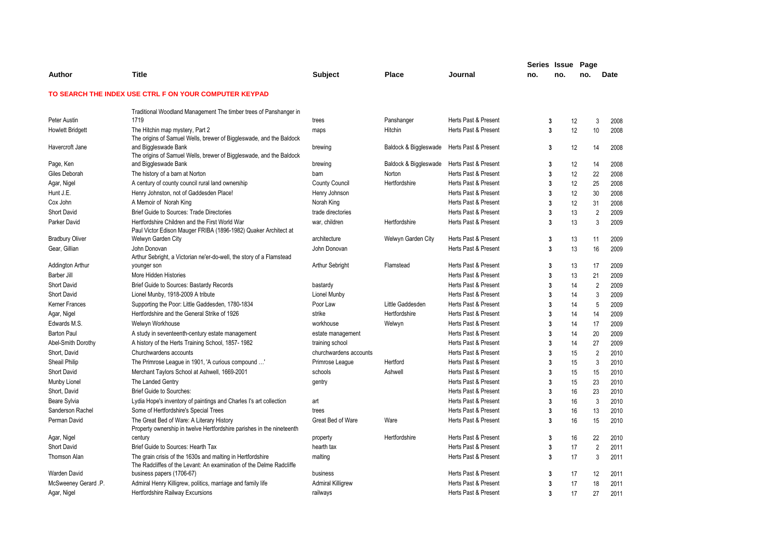|                         |                                                                                                                                   |                          |                       |                      | Series Issue            |     | Page     |                        |
|-------------------------|-----------------------------------------------------------------------------------------------------------------------------------|--------------------------|-----------------------|----------------------|-------------------------|-----|----------|------------------------|
| Author                  | <b>Title</b>                                                                                                                      | <b>Subject</b>           | <b>Place</b>          | Journal              | no.                     | no. | no.      | Date                   |
|                         | TO SEARCH THE INDEX USE CTRL F ON YOUR COMPUTER KEYPAD                                                                            |                          |                       |                      |                         |     |          |                        |
|                         | Traditional Woodland Management The timber trees of Panshanger in                                                                 |                          |                       |                      |                         |     |          |                        |
| Peter Austin            | 1719                                                                                                                              | trees                    | Panshanger            | Herts Past & Present | 3                       |     | 12       | 3<br>2008              |
| <b>Howlett Bridgett</b> | The Hitchin map mystery, Part 2                                                                                                   | maps                     | Hitchin               | Herts Past & Present | 3                       |     | 12       | 10<br>2008             |
|                         | The origins of Samuel Wells, brewer of Biggleswade, and the Baldock                                                               |                          |                       |                      |                         |     |          |                        |
| Havercroft Jane         | and Biggleswade Bank                                                                                                              | brewing                  | Baldock & Biggleswade | Herts Past & Present |                         | 3   | 12       | 14<br>2008             |
|                         | The origins of Samuel Wells, brewer of Biggleswade, and the Baldock                                                               |                          |                       |                      |                         |     |          |                        |
| Page, Ken               | and Biggleswade Bank                                                                                                              | brewing                  | Baldock & Biggleswade | Herts Past & Present |                         | 3   | 12       | 2008<br>14             |
| Giles Deborah           | The history of a barn at Norton                                                                                                   | barn                     | Norton                | Herts Past & Present | 3                       |     | 12       | 22<br>2008             |
| Agar, Nigel             | A century of county council rural land ownership                                                                                  | <b>County Council</b>    | Hertfordshire         | Herts Past & Present | 3                       |     | 12       | 2008<br>25             |
| Hunt J.E.               | Henry Johnston, not of Gaddesden Place!                                                                                           | Henry Johnson            |                       | Herts Past & Present | 3                       |     | 12       | 30<br>2008             |
| Cox John                | A Memoir of Norah King                                                                                                            | Norah King               |                       | Herts Past & Present | 3                       |     | 12       | 2008<br>31             |
| <b>Short David</b>      | <b>Brief Guide to Sources: Trade Directories</b>                                                                                  | trade directories        |                       | Herts Past & Present |                         | 3   | 13       | $\overline{2}$<br>2009 |
| Parker David            | Hertfordshire Children and the First World War<br>Paul Victor Edison Mauger FRIBA (1896-1982) Quaker Architect at                 | war, children            | Hertfordshire         | Herts Past & Present |                         | 3   | 13       | 3<br>2009              |
| <b>Bradbury Oliver</b>  | Welwyn Garden City                                                                                                                | architecture             | Welwyn Garden City    | Herts Past & Present |                         | 3   | 13       | 11<br>2009             |
| Gear, Gillian           | John Donovan                                                                                                                      | John Donovan             |                       | Herts Past & Present |                         | 3   | 13       | 16<br>2009             |
|                         | Arthur Sebright, a Victorian ne'er-do-well, the story of a Flamstead                                                              |                          |                       |                      |                         |     |          |                        |
| Addington Arthur        | younger son                                                                                                                       | <b>Arthur Sebright</b>   | Flamstead             | Herts Past & Present | 3                       |     | 13       | 17<br>2009             |
| Barber Jill             | More Hidden Histories                                                                                                             |                          |                       | Herts Past & Present | 3                       |     | 13<br>21 | 2009                   |
| <b>Short David</b>      | <b>Brief Guide to Sources: Bastardy Records</b>                                                                                   | bastardy                 |                       | Herts Past & Present | 3                       |     | 14       | $\overline{2}$<br>2009 |
| <b>Short David</b>      | Lionel Munby, 1918-2009 A tribute                                                                                                 | Lionel Munby             |                       | Herts Past & Present | 3                       |     | 14       | 3<br>2009              |
| Kerner Frances          | Supporting the Poor: Little Gaddesden, 1780-1834                                                                                  | Poor Law                 | Little Gaddesden      | Herts Past & Present | 3                       |     | 14       | 5<br>2009              |
| Agar, Nigel             | Hertfordshire and the General Strike of 1926                                                                                      | strike                   | Hertfordshire         | Herts Past & Present | 3                       |     | 14       | 14<br>2009             |
| Edwards M.S.            | Welwyn Workhouse                                                                                                                  | workhouse                | Welwyn                | Herts Past & Present | 3                       |     | 14       | 17<br>2009             |
| <b>Barton Paul</b>      | A study in seventeenth-century estate management                                                                                  | estate management        |                       | Herts Past & Present | 3                       |     | 14       | 20<br>2009             |
| Abel-Smith Dorothy      | A history of the Herts Training School, 1857-1982                                                                                 | training school          |                       | Herts Past & Present | 3                       |     | 14       | 2009<br>27             |
| Short, David            | Churchwardens accounts                                                                                                            | churchwardens accounts   |                       | Herts Past & Present | 3                       |     | 15       | $\overline{2}$<br>2010 |
| Sheail Philip           | The Primrose League in 1901, 'A curious compound '                                                                                | Primrose League          | Hertford              | Herts Past & Present | 3                       |     | 15       | 3<br>2010              |
| <b>Short David</b>      | Merchant Taylors School at Ashwell, 1669-2001                                                                                     | schools                  | Ashwell               | Herts Past & Present | 3                       |     | 15       | 15<br>2010             |
| Munby Lionel            | The Landed Gentry                                                                                                                 | gentry                   |                       | Herts Past & Present | 3                       |     | 15       | 23<br>2010             |
| Short, David            | <b>Brief Guide to Sourches:</b>                                                                                                   |                          |                       | Herts Past & Present | 3                       |     | 16       | 23<br>2010             |
| Beare Sylvia            | Lydia Hope's inventory of paintings and Charles I's art collection                                                                | art                      |                       | Herts Past & Present | 3                       |     | 16       | 3<br>2010              |
| Sanderson Rachel        | Some of Hertfordshire's Special Trees                                                                                             | trees                    |                       | Herts Past & Present |                         | 3   | 16       | 13<br>2010             |
| Perman David            | The Great Bed of Ware: A Literary History                                                                                         | Great Bed of Ware        | Ware                  | Herts Past & Present |                         | 3   | 16       | 15<br>2010             |
|                         | Property ownership in twelve Hertfordshire parishes in the nineteenth                                                             |                          |                       |                      |                         |     |          |                        |
| Agar, Nigel             | century                                                                                                                           | property                 | Hertfordshire         | Herts Past & Present |                         | 3   | 16       | 22<br>2010             |
| <b>Short David</b>      | Brief Guide to Sources: Hearth Tax                                                                                                | hearth tax               |                       | Herts Past & Present |                         | 3   | 17       | $\overline{2}$<br>2011 |
| <b>Thomson Alan</b>     | The grain crisis of the 1630s and malting in Hertfordshire<br>The Radcliffes of the Levant: An examination of the Delme Radcliffe | malting                  |                       | Herts Past & Present |                         | 3   | 17       | 3<br>2011              |
| Warden David            | business papers (1706-67)                                                                                                         | business                 |                       | Herts Past & Present |                         | 3   | 17       | 12<br>2011             |
| McSweeney Gerard .P.    | Admiral Henry Killigrew, politics, marriage and family life                                                                       | <b>Admiral Killigrew</b> |                       | Herts Past & Present | 3                       |     | 17       | 18<br>2011             |
| Agar, Nigel             | Hertfordshire Railway Excursions                                                                                                  | railways                 |                       | Herts Past & Present | $\overline{\mathbf{3}}$ |     | 17       | 27<br>2011             |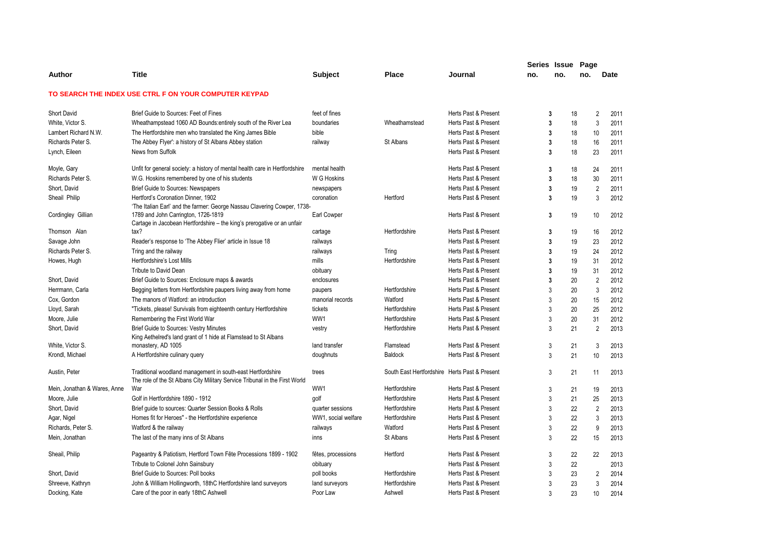|                              |                                                                                                                                            |                     |                                               |                      | Series Issue   |     | Page |                        |
|------------------------------|--------------------------------------------------------------------------------------------------------------------------------------------|---------------------|-----------------------------------------------|----------------------|----------------|-----|------|------------------------|
| Author                       | <b>Title</b>                                                                                                                               | Subject             | Place                                         | Journal              | no.            | no. | no.  | Date                   |
|                              | TO SEARCH THE INDEX USE CTRL F ON YOUR COMPUTER KEYPAD                                                                                     |                     |                                               |                      |                |     |      |                        |
| <b>Short David</b>           | Brief Guide to Sources: Feet of Fines                                                                                                      | feet of fines       |                                               | Herts Past & Present | 3              |     | 18   | $\overline{2}$<br>2011 |
| White, Victor S.             | Wheathampstead 1060 AD Bounds: entirely south of the River Lea                                                                             | boundaries          | Wheathamstead                                 | Herts Past & Present | $\overline{3}$ |     | 18   | 3<br>2011              |
| Lambert Richard N.W.         | The Hertfordshire men who translated the King James Bible                                                                                  | bible               |                                               | Herts Past & Present | 3              |     | 18   | 10<br>2011             |
| Richards Peter S.            | The Abbey Flyer': a history of St Albans Abbey station                                                                                     | railway             | St Albans                                     | Herts Past & Present | 3              |     | 18   | 16<br>2011             |
| Lynch, Eileen                | News from Suffolk                                                                                                                          |                     |                                               | Herts Past & Present | 3              |     | 18   | 23<br>2011             |
| Moyle, Gary                  | Unfit for general society: a history of mental health care in Hertfordshire                                                                | mental health       |                                               | Herts Past & Present | 3              |     | 18   | 24<br>2011             |
| Richards Peter S.            | W.G. Hoskins remembered by one of his students                                                                                             | W G Hoskins         |                                               | Herts Past & Present | 3              |     | 18   | 30<br>2011             |
| Short, David                 | Brief Guide to Sources: Newspapers                                                                                                         | newspapers          |                                               | Herts Past & Present | 3              |     | 19   | $\overline{2}$<br>2011 |
| Sheail Philip                | Hertford's Coronation Dinner, 1902<br>'The Italian Earl' and the farmer: George Nassau Clavering Cowper, 1738-                             | coronation          | Hertford                                      | Herts Past & Present | 3              |     | 19   | 3<br>2012              |
| Cordingley Gillian           | 1789 and John Carrington, 1726-1819<br>Cartage in Jacobean Hertfordshire – the king's prerogative or an unfair                             | Earl Cowper         |                                               | Herts Past & Present | 3              |     | 19   | 10<br>2012             |
| Thomson Alan                 | tax?                                                                                                                                       | cartage             | Hertfordshire                                 | Herts Past & Present | 3              |     | 19   | 16<br>2012             |
| Savage John                  | Reader's response to 'The Abbey Flier' article in Issue 18                                                                                 | railways            |                                               | Herts Past & Present | 3              |     | 19   | 23<br>2012             |
| Richards Peter S.            | Tring and the railway                                                                                                                      | railways            | Tring                                         | Herts Past & Present | $\overline{3}$ |     | 19   | 24<br>2012             |
| Howes, Hugh                  | Hertfordshire's Lost Mills                                                                                                                 | mills               | Hertfordshire                                 | Herts Past & Present | 3              |     | 19   | 31<br>2012             |
|                              | Tribute to David Dean                                                                                                                      | obituary            |                                               | Herts Past & Present | 3              |     | 19   | 31<br>2012             |
| Short, David                 | Brief Guide to Sources: Enclosure maps & awards                                                                                            | enclosures          |                                               | Herts Past & Present | 3              |     | 20   | $\overline{2}$<br>2012 |
| Herrmann, Carla              | Begging letters from Hertfordshire paupers living away from home                                                                           | paupers             | Hertfordshire                                 | Herts Past & Present | 3              |     | 20   | 3<br>2012              |
| Cox, Gordon                  | The manors of Watford: an introduction                                                                                                     | manorial records    | Watford                                       | Herts Past & Present | 3              |     | 20   | 15<br>2012             |
| Lloyd, Sarah                 | "Tickets, please! Survivals from eighteenth century Hertfordshire                                                                          | tickets             | Hertfordshire                                 | Herts Past & Present | 3              |     | 20   | 25<br>2012             |
| Moore, Julie                 | Remembering the First World War                                                                                                            | WW1                 | Hertfordshire                                 | Herts Past & Present | 3              |     | 20   | 31<br>2012             |
| Short, David                 | <b>Brief Guide to Sources: Vestry Minutes</b>                                                                                              | vestry              | Hertfordshire                                 | Herts Past & Present | 3              |     | 21   | $\overline{2}$<br>2013 |
|                              | King Aethelred's land grant of 1 hide at Flamstead to St Albans                                                                            |                     |                                               |                      |                |     |      |                        |
| White, Victor S.             | monastery, AD 1005                                                                                                                         | land transfer       | Flamstead                                     | Herts Past & Present | 3              |     | 21   | 3<br>2013              |
| Krondl, Michael              | A Hertfordshire culinary query                                                                                                             | doughnuts           | <b>Baldock</b>                                | Herts Past & Present | 3              |     | 21   | 10<br>2013             |
| Austin, Peter                | Traditional woodland management in south-east Hertfordshire<br>The role of the St Albans City Military Service Tribunal in the First World | trees               | South East Hertfordshire Herts Past & Present |                      | 3              |     | 21   | 2013<br>11             |
| Mein, Jonathan & Wares, Anne | War                                                                                                                                        | WW1                 | Hertfordshire                                 | Herts Past & Present | 3              |     | 21   | 19<br>2013             |
| Moore, Julie                 | Golf in Hertfordshire 1890 - 1912                                                                                                          | golf                | Hertfordshire                                 | Herts Past & Present | 3              |     | 21   | 25<br>2013             |
| Short, David                 | Brief guide to sources: Quarter Session Books & Rolls                                                                                      | quarter sessions    | Hertfordshire                                 | Herts Past & Present | 3              |     | 22   | $\overline{2}$<br>2013 |
| Agar, Nigel                  | Homes fit for Heroes" - the Hertfordshire experience                                                                                       | WW1, social welfare | Hertfordshire                                 | Herts Past & Present | 3              |     | 22   | 3<br>2013              |
| Richards, Peter S.           | Watford & the railway                                                                                                                      | railways            | Watford                                       | Herts Past & Present | 3              |     | 22   | 9<br>2013              |
| Mein, Jonathan               | The last of the many inns of St Albans                                                                                                     | inns                | St Albans                                     | Herts Past & Present | 3              |     | 22   | 15<br>2013             |
| Sheail, Philip               | Pageantry & Patiotism, Hertford Town Fête Processions 1899 - 1902                                                                          | fêtes, processions  | Hertford                                      | Herts Past & Present | 3              |     | 22   | 22<br>2013             |
|                              | Tribute to Colonel John Sainsbury                                                                                                          | obituary            |                                               | Herts Past & Present | 3              |     | 22   | 2013                   |
| Short, David                 | Brief Guide to Sources: Poll books                                                                                                         | poll books          | Hertfordshire                                 | Herts Past & Present | 3              |     | 23   | 2<br>2014              |
| Shreeve, Kathryn             | John & William Hollingworth, 18thC Hertfordshire land surveyors                                                                            | land surveyors      | Hertfordshire                                 | Herts Past & Present | 3              |     | 23   | 3<br>2014              |
| Docking, Kate                | Care of the poor in early 18thC Ashwell                                                                                                    | Poor Law            | Ashwell                                       | Herts Past & Present | 3              |     | 23   | 10<br>2014             |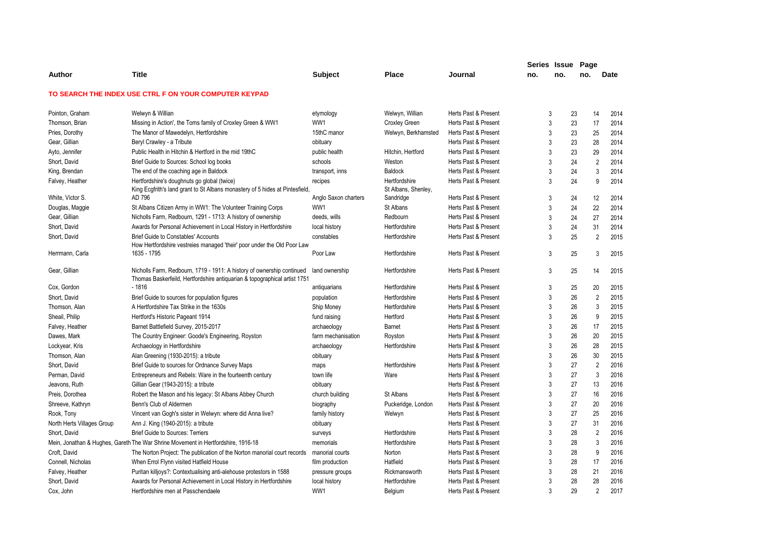|                            |                                                                                                                                                     |                      |                                      |                      | Series Issue |     | Page           |      |
|----------------------------|-----------------------------------------------------------------------------------------------------------------------------------------------------|----------------------|--------------------------------------|----------------------|--------------|-----|----------------|------|
| Author                     | <b>Title</b>                                                                                                                                        | <b>Subject</b>       | <b>Place</b>                         | Journal              | no.          | no. | no.            | Date |
|                            | TO SEARCH THE INDEX USE CTRL F ON YOUR COMPUTER KEYPAD                                                                                              |                      |                                      |                      |              |     |                |      |
| Pointon, Graham            | Welwyn & Willian                                                                                                                                    | etymology            | Welwyn, Willian                      | Herts Past & Present | 3            | 23  | 14             | 2014 |
| Thomson, Brian             | Missing in Action', the Toms family of Croxley Green & WW1                                                                                          | WW1                  | <b>Croxley Green</b>                 | Herts Past & Present | 3            | 23  | 17             | 2014 |
| Pries, Dorothy             | The Manor of Mawedelyn, Hertfordshire                                                                                                               | 15thC manor          | Welwyn, Berkhamsted                  | Herts Past & Present | 3            | 23  | 25             | 2014 |
| Gear, Gillian              | Beryl Crawley - a Tribute                                                                                                                           | obituary             |                                      | Herts Past & Present | 3            | 23  | 28             | 2014 |
| Ayto, Jennifer             | Public Health in Hitchin & Hertford in the mid 19thC                                                                                                | public health        | Hitchin, Hertford                    | Herts Past & Present | 3            | 23  | 29             | 2014 |
| Short, David               | Brief Guide to Sources: School log books                                                                                                            | schools              | Weston                               | Herts Past & Present | 3            | 24  | $\overline{2}$ | 2014 |
| King, Brendan              | The end of the coaching age in Baldock                                                                                                              | transport, inns      | <b>Baldock</b>                       | Herts Past & Present | 3            | 24  | 3              | 2014 |
| Falvey, Heather            | Hertfordshire's doughnuts go global (twice)<br>King Ecgfrith's land grant to St Albans monastery of 5 hides at Pintesfield                          | recipes              | Hertfordshire<br>St Albans, Shenley, | Herts Past & Present | 3            | 24  | 9              | 2014 |
| White, Victor S.           | AD 796                                                                                                                                              | Anglo Saxon charters | Sandridge                            | Herts Past & Present | 3            | 24  | 12             | 2014 |
| Douglas, Maggie            | St Albans Citizen Army in WW1: The Volunteer Training Corps                                                                                         | WW1                  | St Albans                            | Herts Past & Present | 3            | 24  | 22             | 2014 |
| Gear, Gillian              | Nicholls Farm, Redbourn, 1291 - 1713: A history of ownership                                                                                        | deeds, wills         | Redbourn                             | Herts Past & Present | 3            | 24  | 27             | 2014 |
| Short, David               | Awards for Personal Achievement in Local History in Hertfordshire                                                                                   | local history        | Hertfordshire                        | Herts Past & Present | 3            | 24  | 31             | 2014 |
| Short, David               | <b>Brief Guide to Constables' Accounts</b><br>How Hertfordshire vestreies managed 'their' poor under the Old Poor Law                               | constables           | Hertfordshire                        | Herts Past & Present | 3            | 25  | $\overline{2}$ | 2015 |
| Herrmann, Carla            | 1635 - 1795                                                                                                                                         | Poor Law             | Hertfordshire                        | Herts Past & Present | 3            | 25  | 3              | 2015 |
| Gear, Gillian              | Nicholls Farm, Redbourn, 1719 - 1911: A history of ownership continued<br>Thomas Baskerfeild, Hertfordshire antiquarian & topographical artist 1751 | land ownership       | Hertfordshire                        | Herts Past & Present | 3            | 25  | 14             | 2015 |
| Cox, Gordon                | $-1816$                                                                                                                                             | antiquarians         | Hertfordshire                        | Herts Past & Present | 3            | 25  | 20             | 2015 |
| Short, David               | Brief Guide to sources for population figures                                                                                                       | population           | Hertfordshire                        | Herts Past & Present | 3            | 26  | $\overline{2}$ | 2015 |
| Thomson, Alan              | A Hertfordshire Tax Strike in the 1630s                                                                                                             | Ship Money           | Hertfordshire                        | Herts Past & Present | 3            | 26  | 3              | 2015 |
| Sheail, Philip             | Hertford's Historic Pageant 1914                                                                                                                    | fund raising         | Hertford                             | Herts Past & Present | 3            | 26  | 9              | 2015 |
| Falvey, Heather            | Barnet Battlefield Survey, 2015-2017                                                                                                                | archaeology          | Barnet                               | Herts Past & Present | 3            | 26  | 17             | 2015 |
| Dawes, Mark                | The Country Engineer: Goode's Engineering, Royston                                                                                                  | farm mechanisation   | Royston                              | Herts Past & Present | 3            | 26  | 20             | 2015 |
| Lockyear, Kris             | Archaeology in Hertfordshire                                                                                                                        | archaeology          | Hertfordshire                        | Herts Past & Present | 3            | 26  | 28             | 2015 |
| Thomson, Alan              | Alan Greening (1930-2015): a tribute                                                                                                                | obituary             |                                      | Herts Past & Present | 3            | 26  | 30             | 2015 |
| Short, David               | Brief Guide to sources for Ordnance Survey Maps                                                                                                     | maps                 | Hertfordshire                        | Herts Past & Present | 3            | 27  | $\overline{2}$ | 2016 |
| Perman, David              | Entrepreneurs and Rebels: Ware in the fourteenth century                                                                                            | town life            | Ware                                 | Herts Past & Present | 3            | 27  | 3              | 2016 |
| Jeavons, Ruth              | Gillian Gear (1943-2015): a tribute                                                                                                                 | obituary             |                                      | Herts Past & Present | 3            | 27  | 13             | 2016 |
| Preis, Dorothea            | Robert the Mason and his legacy: St Albans Abbey Church                                                                                             | church building      | St Albans                            | Herts Past & Present | 3            | 27  | 16             | 2016 |
| Shreeve, Kathryn           | Benn's Club of Aldermen                                                                                                                             | biography            | Puckeridge, London                   | Herts Past & Present | 3            | 27  | 20             | 2016 |
| Rook, Tony                 | Vincent van Gogh's sister in Welwyn: where did Anna live?                                                                                           | family history       | Welwyn                               | Herts Past & Present | 3            | 27  | 25             | 2016 |
| North Herts Villages Group | Ann J. King (1940-2015): a tribute                                                                                                                  | obituary             |                                      | Herts Past & Present | 3            | 27  | 31             | 2016 |
| Short, David               | <b>Brief Guide to Sources: Terriers</b>                                                                                                             | surveys              | Hertfordshire                        | Herts Past & Present | 3            | 28  | $\overline{2}$ | 2016 |
|                            | Mein, Jonathan & Hughes, Gareth The War Shrine Movement in Hertfordshire, 1916-18                                                                   | memorials            | Hertfordshire                        | Herts Past & Present | 3            | 28  | 3              | 2016 |
| Croft, David               | The Norton Project: The publication of the Norton manorial court records                                                                            | manorial courts      | Norton                               | Herts Past & Present | 3            | 28  | 9              | 2016 |
| Connell, Nicholas          | When Errol Flynn visited Hatfield House                                                                                                             | film production      | Hatfield                             | Herts Past & Present | 3            | 28  | 17             | 2016 |
| Falvey, Heather            | Puritan killjoys?: Contextualising anti-alehouse protestors in 1588                                                                                 | pressure groups      | Rickmansworth                        | Herts Past & Present | 3            | 28  | 21             | 2016 |
| Short, David               | Awards for Personal Achievement in Local History in Hertfordshire                                                                                   | local history        | Hertfordshire                        | Herts Past & Present | 3            | 28  | 28             | 2016 |
| Cox, John                  | Hertfordshire men at Passchendaele                                                                                                                  | WW1                  | Belgium                              | Herts Past & Present | 3            | 29  | $\mathfrak{p}$ | 2017 |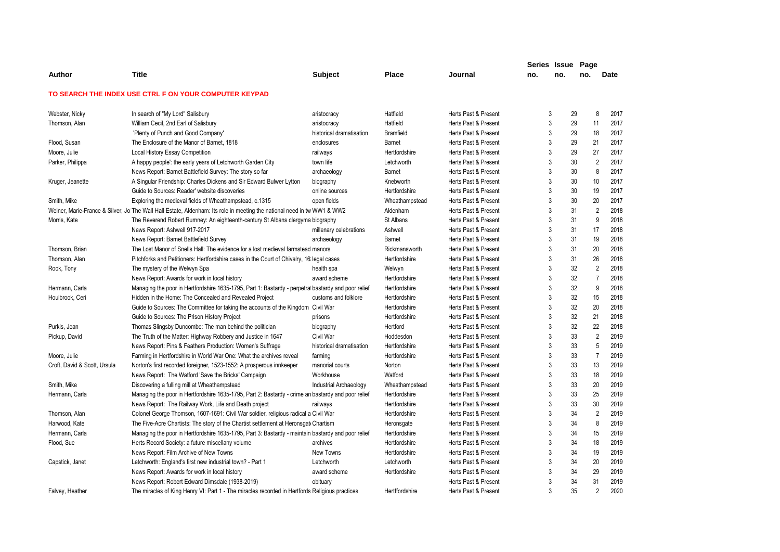|                              |                                                                                                                         |                          |                |                      | Series Issue   |     | Page |                        |
|------------------------------|-------------------------------------------------------------------------------------------------------------------------|--------------------------|----------------|----------------------|----------------|-----|------|------------------------|
| Author                       | <b>Title</b>                                                                                                            | <b>Subject</b>           | <b>Place</b>   | Journal              | no.            | no. | no.  | <b>Date</b>            |
|                              | TO SEARCH THE INDEX USE CTRL F ON YOUR COMPUTER KEYPAD                                                                  |                          |                |                      |                |     |      |                        |
| Webster, Nicky               | In search of "My Lord" Salisbury                                                                                        | aristocracy              | Hatfield       | Herts Past & Present | 3              |     | 29   | 8<br>2017              |
| Thomson, Alan                | William Cecil, 2nd Earl of Salisbury                                                                                    | aristocracy              | Hatfield       | Herts Past & Present | $\mathbf{3}$   |     | 29   | 11<br>2017             |
|                              | 'Plenty of Punch and Good Company'                                                                                      | historical dramatisation | Bramfield      | Herts Past & Present | 3              |     | 29   | 18<br>2017             |
| Flood, Susan                 | The Enclosure of the Manor of Barnet, 1818                                                                              | enclosures               | <b>Barnet</b>  | Herts Past & Present | 3              |     | 29   | 21<br>2017             |
| Moore, Julie                 | Local History Essay Competition                                                                                         | railways                 | Hertfordshire  | Herts Past & Present | $\mathbf{3}$   |     | 29   | 27<br>2017             |
| Parker, Philippa             | A happy people': the early years of Letchworth Garden City                                                              | town life                | Letchworth     | Herts Past & Present | 3              |     | 30   | $\overline{2}$<br>2017 |
|                              | News Report: Barnet Battlefield Survey: The story so far                                                                | archaeology              | Barnet         | Herts Past & Present | 3              |     | 30   | 8<br>2017              |
| Kruger, Jeanette             | A Singular Friendship: Charles Dickens and Sir Edward Bulwer Lytton                                                     | biography                | Knebworth      | Herts Past & Present | $\overline{3}$ |     | 30   | 2017<br>10             |
|                              | Guide to Sources: Reader' website discoveries                                                                           | online sources           | Hertfordshire  | Herts Past & Present | 3              |     | 30   | 19<br>2017             |
| Smith, Mike                  | Exploring the medieval fields of Wheathampstead, c.1315                                                                 | open fields              | Wheathampstead | Herts Past & Present | 3              |     | 30   | 20<br>2017             |
|                              | Weiner, Marie-France & Silver, Jo The Wall Hall Estate, Aldenham: Its role in meeting the national need in tw WW1 & WW2 |                          | Aldenham       | Herts Past & Present | 3              |     | 31   | $\overline{2}$<br>2018 |
| Morris, Kate                 | The Reverend Robert Rumney: An eighteenth-century St Albans clergyma biography                                          |                          | St Albans      | Herts Past & Present | 3              |     | 31   | 9<br>2018              |
|                              | News Report: Ashwell 917-2017                                                                                           | millenary celebrations   | Ashwell        | Herts Past & Present | 3              |     | 31   | 17<br>2018             |
|                              | News Report: Barnet Battlefield Survey                                                                                  | archaeology              | Barnet         | Herts Past & Present | $\overline{3}$ |     | 31   | 19<br>2018             |
| Thomson, Brian               | The Lost Manor of Snells Hall: The evidence for a lost medieval farmstead manors                                        |                          | Rickmansworth  | Herts Past & Present | 3              |     | 31   | 20<br>2018             |
| Thomson, Alan                | Pitchforks and Petitioners: Hertfordshire cases in the Court of Chivalry, 16 legal cases                                |                          | Hertfordshire  | Herts Past & Present | 3              |     | 31   | 26<br>2018             |
| Rook, Tony                   | The mystery of the Welwyn Spa                                                                                           | health spa               | Welwyn         | Herts Past & Present | 3              |     | 32   | $\overline{2}$<br>2018 |
|                              | News Report: Awards for work in local history                                                                           | award scheme             | Hertfordshire  | Herts Past & Present | $\mathbf{3}$   |     | 32   | $\overline{7}$<br>2018 |
| Hermann, Carla               | Managing the poor in Hertfordshire 1635-1795, Part 1: Bastardy - perpetral bastardy and poor relief                     |                          | Hertfordshire  | Herts Past & Present | 3              |     | 32   | 9<br>2018              |
| Houlbrook, Ceri              | Hidden in the Home: The Concealed and Revealed Project                                                                  | customs and folklore     | Hertfordshire  | Herts Past & Present | $\mathbf{3}$   |     | 32   | 15<br>2018             |
|                              | Guide to Sources: The Committee for taking the accounts of the Kingdom Civil War                                        |                          | Hertfordshire  | Herts Past & Present | 3              |     | 32   | 20<br>2018             |
|                              | Guide to Sources: The Prison History Project                                                                            | prisons                  | Hertfordshire  | Herts Past & Present | 3              |     | 32   | 21<br>2018             |
| Purkis, Jean                 | Thomas Slingsby Duncombe: The man behind the politician                                                                 | biography                | Hertford       | Herts Past & Present | 3              |     | 32   | 22<br>2018             |
| Pickup, David                | The Truth of the Matter: Highway Robbery and Justice in 1647                                                            | Civil War                | Hoddesdon      | Herts Past & Present | 3              |     | 33   | $\overline{2}$<br>2019 |
|                              | News Report: Pins & Feathers Production: Women's Suffrage                                                               | historical dramatisation | Hertfordshire  | Herts Past & Present | 3              |     | 33   | 2019<br>5              |
| Moore, Julie                 | Farming in Hertfordshire in World War One: What the archives reveal                                                     | farming                  | Hertfordshire  | Herts Past & Present | 3              |     | 33   | $\overline{7}$<br>2019 |
| Croft, David & Scott, Ursula | Norton's first recorded foreigner, 1523-1552: A prosperous innkeeper                                                    | manorial courts          | Norton         | Herts Past & Present | 3              |     | 33   | 13<br>2019             |
|                              | News Report: The Watford 'Save the Bricks' Campaign                                                                     | Workhouse                | Watford        | Herts Past & Present | 3              |     | 33   | 18<br>2019             |
| Smith, Mike                  | Discovering a fulling mill at Wheathampstead                                                                            | Industrial Archaeology   | Wheathampstead | Herts Past & Present | 3              |     | 33   | 20<br>2019             |
| Hermann, Carla               | Managing the poor in Hertfordshire 1635-1795, Part 2: Bastardy - crime an bastardy and poor relief                      |                          | Hertfordshire  | Herts Past & Present | $\mathbf{3}$   |     | 33   | 25<br>2019             |
|                              | News Report: The Railway Work, Life and Death project                                                                   | railways                 | Hertfordshire  | Herts Past & Present | 3              |     | 33   | 30<br>2019             |
| Thomson, Alan                | Colonel George Thomson, 1607-1691: Civil War soldier, religious radical a Civil War                                     |                          | Hertfordshire  | Herts Past & Present | 3              |     | 34   | $\overline{2}$<br>2019 |
| Harwood, Kate                | The Five-Acre Chartists: The story of the Chartist settlement at Heronsgati Chartism                                    |                          | Heronsgate     | Herts Past & Present | 3              |     | 34   | 8<br>2019              |
| Hermann, Carla               | Managing the poor in Hertfordshire 1635-1795, Part 3: Bastardy - maintain bastardy and poor relief                      |                          | Hertfordshire  | Herts Past & Present | 3              |     | 34   | 15<br>2019             |
| Flood, Sue                   | Herts Record Society: a future miscellany volume                                                                        | archives                 | Hertfordshire  | Herts Past & Present | 3              |     | 34   | 18<br>2019             |
|                              | News Report: Film Archive of New Towns                                                                                  | New Towns                | Hertfordshire  | Herts Past & Present | 3              |     | 34   | 19<br>2019             |
| Capstick, Janet              | Letchworth: England's first new industrial town? - Part 1                                                               | Letchworth               | Letchworth     | Herts Past & Present | 3              |     | 34   | 20<br>2019             |
|                              | News Report: Awards for work in local history                                                                           | award scheme             | Hertfordshire  | Herts Past & Present | 3              |     | 34   | 29<br>2019             |
|                              | News Report: Robert Edward Dimsdale (1938-2019)                                                                         | obituary                 |                | Herts Past & Present | 3              |     | 34   | 31<br>2019             |
| Falvey, Heather              | The miracles of King Henry VI: Part 1 - The miracles recorded in Hertfords Religious practices                          |                          | Hertffordshire | Herts Past & Present | 3              |     | 35   | $\overline{2}$<br>2020 |